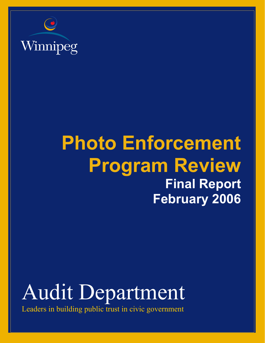

# Photo Enforceme **Photo Enforcement** Preliminary Survey Report **February 2006 Program Review Final Report**

# Audit Department

Leaders in building public trust in civic government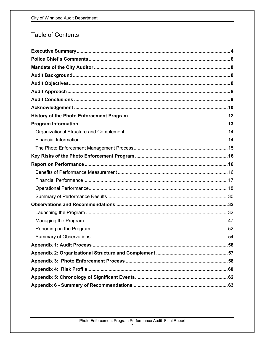### **Table of Contents**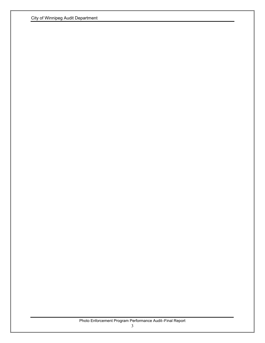#### Photo Enforcement Program Performance Audit–Final Report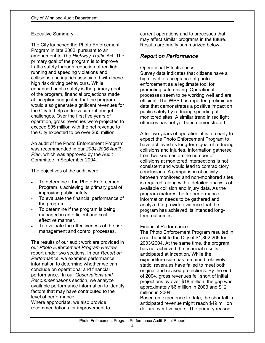### Executive Summary

The City launched the Photo Enforcement Program in late 2002, pursuant to an amendment to *The Highway Traffic* Act. The primary goal of the program is to improve traffic safety through reduction of red light running and speeding violations and collisions and injuries associated with these high risk driving behaviours. While enhanced public safety is the primary goal of the program, financial projections made at inception suggested that the program would also generate significant revenues for the City to help address current budget challenges. Over the first five years of operation, gross revenues were projected to exceed \$95 million with the net revenue to the City expected to be over \$65 million.

An audit of the Photo Enforcement Program was recommended in our *2004-2006 Audit Plan*, which was approved by the Audit Committee in September 2004.

The objectives of the audit were

- To determine if the Photo Enforcement Program is achieving its primary goal of improving public safety.
- To evaluate the financial performance of the program.
- To determine if the program is being managed in an efficient and costeffective manner.
- To evaluate the effectiveness of the risk management and control processes.

The results of our audit work are provided in our *Photo Enforcement Program Review* report under two sections. In our *Report on Performance*, we examine performance information to determine whether we can conclude on operational and financial performance. In our *Observations and Recommendations* section, we analyze available performance information to identify factors that may have contributed to the level of performance.

Where appropriate, we also provide recommendations for improvement to current operations and to processes that may affect similar programs in the future. Results are briefly summarized below.

### *Report on Performance*

### Operational Effectiveness

Survey data indicates that citizens have a high level of acceptance of photo enforcement as a legitimate tool for promoting safe driving. Operational processes seem to be working well and are efficient. The WPS has reported preliminary data that demonstrates a positive impact on public safety by reducing speeding at monitored sites. A similar trend in red light offences has not yet been demonstrated.

After two years of operation, it is too early to expect the Photo Enforcement Program to have achieved its long-term goal of reducing collisions and injuries. Information gathered from two sources on the number of collisions at monitored intersections is not consistent and would lead to contradictory conclusions. A comparison of activity between monitored and non-monitored sites is required, along with a detailed analysis of available collision and injury data. As the program matures, better performance information needs to be gathered and analyzed to provide evidence that the program has achieved its intended longterm outcomes.

### Financial Performance

The Photo Enforcement Program resulted in a net benefit to the City of \$1,802,266 for 2003/2004. At the same time, the program has not achieved the financial results anticipated at inception. While the expenditure side has remained relatively static, revenues have failed to meet both original and revised projections. By the end of 2004, gross revenues fell short of initial projections by over \$18 million: the gap was approximately \$6 million in 2003 and \$12 million in 2004.

Based on experience to date, the shortfall in anticipated revenue might reach \$49 million dollars over five years. The primary reason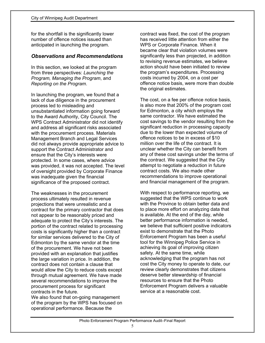for the shortfall is the significantly lower number of offence notices issued than anticipated in launching the program.

### *Observations and Recommendations*

In this section, we looked at the program from three perspectives: *Launching the Program, Managing the Program*, and *Reporting on the Program*.

In launching the program, we found that a lack of due diligence in the procurement process led to misleading and unsubstantiated information going forward to the Award Authority, City Council. The WPS Contract Administrator did not identify and address all significant risks associated with the procurement process. Materials Management Branch and Legal Services did not always provide appropriate advice to support the Contract Administrator and ensure that the City's interests were protected. In some cases, where advice was provided, it was not accepted. The level of oversight provided by Corporate Finance was inadequate given the financial significance of the proposed contract.

The weaknesses in the procurement process ultimately resulted in revenue projections that were unrealistic and a contract for the primary contractor that does not appear to be reasonably priced and adequate to protect the City's interests. The portion of the contract related to processing costs is significantly higher than a contract for similar services delivered to the City of Edmonton by the same vendor at the time of the procurement. We have not been provided with an explanation that justifies the large variation in price. In addition, the contract does not contain a clause that would allow the City to reduce costs except through mutual agreement. We have made several recommendations to improve the procurement process for significant contracts in the future.

We also found that on-going management of the program by the WPS has focused on operational performance. Because the

contract was fixed, the cost of the program has received little attention from either the WPS or Corporate Finance. When it became clear that violation volumes were significantly less than projected, in addition to revising revenue estimates, we believe action should have been initiated to review the program's expenditures. Processing costs incurred by 2004, on a cost per offence notice basis, were more than double the original estimates.

The cost, on a fee per offence notice basis, is also more that 200% of the program cost for Edmonton, a city which employs the same contractor. We have estimated the cost savings to the vendor resulting from the significant reduction in processing capacity due to the lower than expected volume of offence notices to be in excess of \$10 million over the life of the contract. It is unclear whether the City can benefit from any of these cost savings under the terms of the contract. We suggested that the City attempt to negotiate a reduction in future contract costs. We also made other recommendations to improve operational and financial management of the program.

With respect to performance reporting, we suggested that the WPS continue to work with the Province to obtain better data and to place more effort on analyzing data that is available. At the end of the day, while better performance information is needed, we believe that sufficient positive indicators exist to demonstrate that the Photo Enforcement Program has been a useful tool for the Winnipeg Police Service in achieving its goal of improving citizen safety. At the same time, while acknowledging that the program has not cost the City money to operate to date, our review clearly demonstrates that citizens deserve better stewardship of financial resources to ensure that the Photo Enforcement Program delivers a valuable service at a reasonable cost.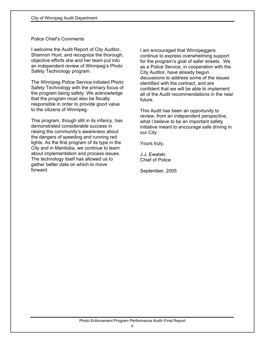### Police Chief's Comments

I welcome the Audit Report of City Auditor, Shannon Hunt, and recognize the thorough, objective efforts she and her team put into an independent review of Winnipeg's Photo Safety Technology program.

The Winnipeg Police Service initiated Photo Safety Technology with the primary focus of the program being safety. We acknowledge that the program must also be fiscally responsible in order to provide good value to the citizens of Winnipeg.

This program, though still in its infancy, has demonstrated considerable success in raising the community's awareness about the dangers of speeding and running red lights. As the first program of its type in the City and in Manitoba, we continue to learn about implementation and process issues. The technology itself has allowed us to gather better data on which to move forward.

I am encouraged that Winnipeggers continue to express overwhelming support for the program's goal of safer streets. We as a Police Service, in cooperation with the City Auditor, have already begun discussions to address some of the issues identified with the contract, and are confident that we will be able to implement all of the Audit recommendations in the near future.

This Audit has been an opportunity to review, from an independent perspective, what I believe to be an important safety initiative meant to encourage safe driving in our City.

Yours truly,

J.J. Ewatski Chief of Police

September, 2005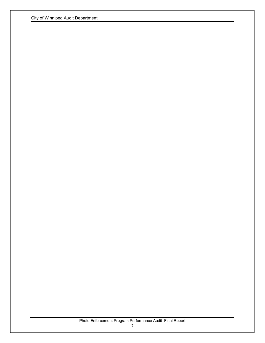#### Photo Enforcement Program Performance Audit–Final Report

7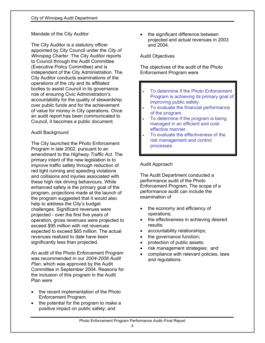Mandate of the City Auditor

The City Auditor is a statutory officer appointed by City Council under the *City of Winnipeg Charter*. The City Auditor reports to Council through the Audit Committee (Executive Policy Committee) and is independent of the City Administration. The City Auditor conducts examinations of the operations of the city and its affiliated bodies to assist Council in its governance role of ensuring Civic Administration's accountability for the quality of stewardship over public funds and for the achievement of value for money in City operations. Once an audit report has been communicated to Council, it becomes a public document.

### Audit Background

The City launched the Photo Enforcement Program in late 2002, pursuant to an amendment to the *Highway Traffic Act*. The primary intent of the new legislation is to improve traffic safety through reduction of red light running and speeding violations and collisions and injuries associated with these high risk driving behaviours. While enhanced safety is the primary goal of the program, projections made at the launch of the program suggested that it would also help to address the City's budget challenges. Significant revenues were projected - over the first five years of operation, gross revenues were projected to exceed \$95 million with net revenues expected to exceed \$65 million. The actual revenues realized to date have been significantly less than projected.

An audit of the Photo Enforcement Program was recommended in our *2004-2006 Audit Plan*, which was approved by the Audit Committee in September 2004. Reasons for the inclusion of this program in the Audit Plan were

- the recent implementation of the Photo Enforcement Program;
- the potential for the program to make a positive impact on public safety; and

the significant difference between projected and actual revenues in 2003 and 2004.

### Audit Objectives

The objectives of the audit of the Photo Enforcement Program were

- To determine if the Photo Enforcement Program is achieving its primary goal of improving public safety.
- To evaluate the financial performance of the program.
- To determine if the program is being managed in an efficient and costeffective manner.
- To evaluate the effectiveness of the risk management and control processes.

### Audit Approach

The Audit Department conducted a performance audit of the Photo Enforcement Program. The scope of a performance audit can include the examination of

- the economy and efficiency of operations;
- the effectiveness in achieving desired results;
- accountability relationships;
- the governance function;
- protection of public assets;
- risk management strategies; and
- compliance with relevant policies, laws and regulations.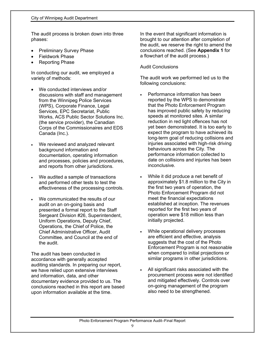The audit process is broken down into three phases:

- Preliminary Survey Phase
- Fieldwork Phase
- Reporting Phase

In conducting our audit, we employed a variety of methods:

- We conducted interviews and/or discussions with staff and management from the Winnipeg Police Services (WPS), Corporate Finance, Legal Services, EPC Secretariat, Public Works, ACS Public Sector Solutions Inc. (the service provider), the Canadian Corps of the Commissionaires and EDS Canada (Inc.).
- We reviewed and analyzed relevant background information and documentation, operating information and processes, policies and procedures, and reports from other jurisdictions.
- We audited a sample of transactions and performed other tests to test the effectiveness of the processing controls.
- We communicated the results of our audit on an on-going basis and presented a formal report to the Staff Sergeant Division #26, Superintendent, Uniform Operations, Deputy Chief, Operations, the Chief of Police, the Chief Administrative Officer, Audit Committee, and Council at the end of the audit.

The audit has been conducted in accordance with generally accepted auditing standards. In preparing our report, we have relied upon extensive interviews and information, data, and other documentary evidence provided to us. The conclusions reached in this report are based upon information available at the time.

In the event that significant information is brought to our attention after completion of the audit, we reserve the right to amend the conclusions reached. (See **Appendix 1** for a flowchart of the audit process.)

### Audit Conclusions

The audit work we performed led us to the following conclusions:

- Performance information has been reported by the WPS to demonstrate that the Photo Enforcement Program has improved public safety by reducing speeds at monitored sites. A similar reduction in red light offences has not yet been demonstrated. It is too early to expect the program to have achieved its long-term goal of reducing collisions and injuries associated with high-risk driving behaviours across the City. The performance information collected to date on collisions and injuries has been inconclusive.
- While it did produce a net benefit of approximately \$1.8 million to the City in the first two years of operation, the Photo Enforcement Program did not meet the financial expectations established at inception. The revenues reported for the first two years of operation were \$18 million less than initially projected.
- While operational delivery processes are efficient and effective, analysis suggests that the cost of the Photo Enforcement Program is not reasonable when compared to initial projections or similar programs in other jurisdictions.
- All significant risks associated with the procurement process were not identified and mitigated effectively. Controls over on-going management of the program also need to be strengthened.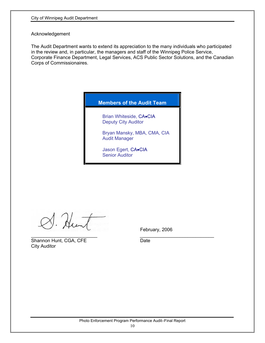### Acknowledgement

The Audit Department wants to extend its appreciation to the many individuals who participated in the review and, in particular, the managers and staff of the Winnipeg Police Service, Corporate Finance Department, Legal Services, ACS Public Sector Solutions, and the Canadian Corps of Commissionaires.



J. Hunt

\_\_\_\_\_\_\_\_\_\_\_\_\_\_\_\_\_\_\_\_\_\_\_\_\_ *\_\_\_\_\_\_\_\_\_\_\_\_\_\_\_\_\_\_\_\_\_\_\_\_\_\_\_\_* Shannon Hunt, CGA, CFE Date City Auditor

February, 2006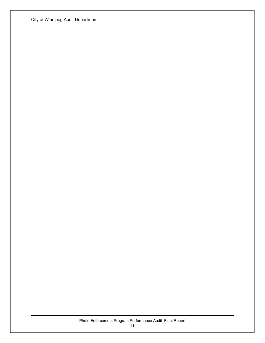City of Winnipeg Audit Department

#### Photo Enforcement Program Performance Audit–Final Report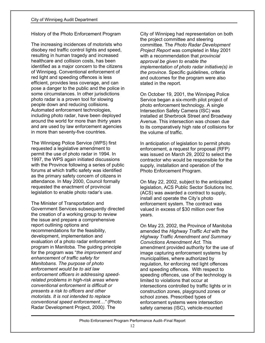History of the Photo Enforcement Program

The increasing incidences of motorists who disobey red traffic control lights and speed, resulting in human tragedy and increased healthcare and collision costs, has been identified as a major concern to the citizens of Winnipeg. Conventional enforcement of red light and speeding offences is less efficient, provides less coverage, and can pose a danger to the public and the police in some circumstances. In other jurisdictions photo radar is a proven tool for slowing people down and reducing collisions. Automated enforcement technologies, including photo radar, have been deployed around the world for more than thirty years and are used by law enforcement agencies in more than seventy-five countries.

The Winnipeg Police Service (WPS) first requested a legislative amendment to permit the use of photo radar in 1994. In 1997, the WPS again initiated discussions with the Province following a series of public forums at which traffic safety was identified as the primary safety concern of citizens in attendance. In May 2000, Council formally requested the enactment of provincial legislation to enable photo radar's use.

The Minister of Transportation and Government Services subsequently directed the creation of a working group to review the issue and prepare a comprehensive report outlining options and recommendations for the feasibility, development, implementation and evaluation of a photo radar enforcement program in Manitoba. The guiding principle for the program was "*the improvement and enhancement of traffic safety for Manitobans. The purpose of photo enforcement would be to aid law enforcement officers in addressing speedrelated problems in high-risk areas where conventional enforcement is difficult or presents a risk to officers and other motorists. It is not intended to replace conventional speed enforcement…"* (Photo Radar Development Project, 2000*).* The

City of Winnipeg had representation on both the project committee and steering committee. The *Photo Radar Development Project Report* was completed in May 2001 with a recommendation that *provincial approval be given to enable the implementation of photo radar initiative(s) in the province*. Specific guidelines, criteria and outcomes for the program were also stated in the report.

On October 19, 2001, the Winnipeg Police Service began a six-month pilot project of photo enforcement technology. A single Intersection Safety Camera (ISC) was installed at Sherbrook Street and Broadway Avenue. This intersection was chosen due to its comparatively high rate of collisions for the volume of traffic.

In anticipation of legislation to permit photo enforcement, a request for proposal (RFP) was issued on March 29, 2002 to select the contractor who would be responsible for the supply, installation and operation of the Photo Enforcement Program.

On May 22, 2002, subject to the anticipated legislation, ACS Public Sector Solutions Inc. (ACS) was awarded a contract to supply, install and operate the City's photo enforcement system. The contract was valued in excess of \$30 million over five years.

On May 23, 2002, the Province of Manitoba amended the *Highway Traffic Act* with the *Highway Traffic Amendment and Summary Convictions Amendment Act*. This amendment provided authority for the use of image capturing enforcement systems by municipalities, where authorized by regulation, for enforcing red light offences and speeding offences. With respect to speeding offences, use of the technology is limited to violations that occur at intersections controlled by traffic lights or in construction zones, playground zones or school zones. Prescribed types of enforcement systems were intersection safety cameras (ISC), vehicle-mounted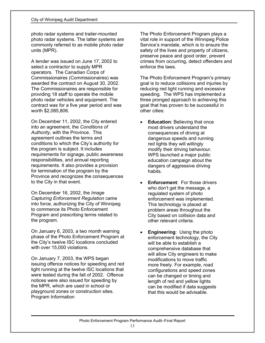photo radar systems and trailer-mounted photo radar systems. The latter systems are commonly referred to as mobile photo radar units (MPR).

A tender was issued on June 17, 2002 to select a contractor to supply MPR operators. The Canadian Corps of Commissionaires (Commissionaires) was awarded the contract on August 30, 2002. The Commissionaires are responsible for providing 18 staff to operate the mobile photo radar vehicles and equipment. The contract was for a five year period and was worth \$2,085,806.

On December 11, 2002, the City entered into an agreement, the *Conditions of Authority*, with the Province. This agreement outlines the terms and conditions to which the City's authority for the program is subject. It includes requirements for signage, public awareness responsibilities, and annual reporting requirements. It also provides a provision for termination of the program by the Province and recognizes the consequences to the City in that event.

On December 16, 2002, the *Image Capturing Enforcement Regulation* came into force, authorizing the City of Winnipeg to commence its Photo Enforcement Program and prescribing terms related to the program.

On January 6, 2003, a two month warning phase of the Photo Enforcement Program at the City's twelve ISC locations concluded with over 15,000 violations.

On January 7, 2003, the WPS began issuing offence notices for speeding and red light running at the twelve ISC locations that were tested during the fall of 2002. Offence notices were also issued for speeding by the MPR, which are used in school or playground zones or construction sites. Program Information

The Photo Enforcement Program plays a vital role in support of the Winnipeg Police Service's mandate, which is to ensure the safety of the lives and property of citizens, preserve peace and good order, prevent crimes from occurring, detect offenders and enforce the laws.

The Photo Enforcement Program's primary goal is to reduce collisions and injuries by reducing red light running and excessive speeding. The WPS has implemented a three pronged approach to achieving this goal that has proven to be successful in other cities:

- **Education**: Believing that once most drivers understand the consequences of driving at dangerous speeds and running red lights they will willingly modify their driving behaviour. WPS launched a major public education campaign about the dangers of aggressive driving habits.
- **Enforcement**: For those drivers who don't get the message, a regulated system of photo enforcement was implemented. This technology is placed at problem areas throughout the City based on collision data and other relevant criteria.
- **Engineering: Using the photo** enforcement technology, the City will be able to establish a comprehensive database that will allow City engineers to make modifications to move traffic more freely. For example, road configurations and speed zones can be changed or timing and length of red and yellow lights can be modified if data suggests that this would be advisable.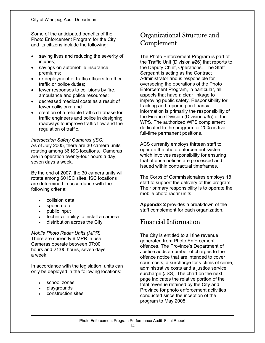Some of the anticipated benefits of the Photo Enforcement Program for the City and its citizens include the following:

- saving lives and reducing the severity of injuries;
- savings on automobile insurance premiums;
- re-deployment of traffic officers to other traffic or police duties;
- fewer responses to collisions by fire, ambulance and police resources;
- decreased medical costs as a result of fewer collisions; and
- creation of a reliable traffic database for traffic engineers and police in designing roadways to improve traffic flow and the regulation of traffic.

### *Intersection Safety Cameras (ISC)*

As of July 2005, there are 30 camera units rotating among 36 ISC locations. Cameras are in operation twenty-four hours a day, seven days a week.

By the end of 2007, the 30 camera units will rotate among 60 ISC sites. ISC locations are determined in accordance with the following criteria:

- collision data
- speed data
- public input
- technical ability to install a camera
- distribution across the City

*Mobile Photo Radar Units (MPR)*  There are currently 6 MPR in use. Cameras operate between 07:00 hours and 21:00 hours, seven days a week.

In accordance with the legislation, units can only be deployed in the following locations:

- school zones
- playgrounds
- construction sites

### Organizational Structure and Complement

The Photo Enforcement Program is part of the Traffic Unit (Division #26) that reports to the Deputy Chief, Operations. The Staff Sergeant is acting as the Contract Administrator and is responsible for overseeing the operations of the Photo Enforcement Program, in particular, all aspects that have a clear linkage to improving public safety. Responsibility for tracking and reporting on financial information is primarily the responsibility of the Finance Division (Division #35) of the WPS. The authorized WPS complement dedicated to the program for 2005 is five full-time permanent positions.

ACS currently employs thirteen staff to operate the photo enforcement system which involves responsibility for ensuring that offense notices are processed and issued within contractual timeframes.

The Corps of Commissionaires employs 18 staff to support the delivery of this program. Their primary responsibility is to operate the mobile photo radar units.

**Appendix 2** provides a breakdown of the staff complement for each organization.

### Financial Information

The City is entitled to all fine revenue generated from Photo Enforcement offences. The Province's Department of Justice adds a number of charges to the offence notice that are intended to cover court costs, a surcharge for victims of crime. administrative costs and a justice service surcharge (JSS). The chart on the next page indicates the relative portion of the total revenue retained by the City and Province for photo enforcement activities conducted since the inception of the program to May 2005.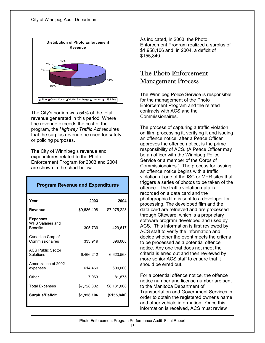

The City's portion was 54% of the total revenue generated in this period. Where fine revenue exceeds the cost of the program, the *Highway Traffic Act* requires that the surplus revenue be used for safety or policing purposes.

The City of Winnipeg's revenue and expenditures related to the Photo Enforcement Program for 2003 and 2004 are shown in the chart below.

| <b>Program Revenue and Expenditures</b>                       |                    |                    |  |  |
|---------------------------------------------------------------|--------------------|--------------------|--|--|
| Year                                                          | 2003               | 2004               |  |  |
| Revenue                                                       | \$9,686,408        | \$7,975,228        |  |  |
| <b>Expenses</b><br><b>WPS Salaries and</b><br><b>Benefits</b> | 305,739            | 429.617            |  |  |
| Canadian Corp of<br>Commissionaires                           | 333,919            | 396,008            |  |  |
| <b>ACS Public Sector</b><br>Solutions                         | 6,466,212          | 6,623,568          |  |  |
| Amortization of 2002<br>expenses                              | 614,469            | 600,000            |  |  |
| Other                                                         | 7,963              | 81,875             |  |  |
| <b>Total Expenses</b>                                         | <u>\$7,728,302</u> | <u>\$8,131,068</u> |  |  |
| <b>Surplus/Deficit</b>                                        | \$1,958,106        | (\$155,840)        |  |  |
|                                                               |                    |                    |  |  |

As indicated, in 2003, the Photo Enforcement Program realized a surplus of \$1,958,106 and, in 2004, a deficit of \$155,840.

### The Photo Enforcement Management Process

The Winnipeg Police Service is responsible for the management of the Photo Enforcement Program and the related contracts with ACS and the Commissionaires.

The process of capturing a traffic violation on film, processing it, verifying it and issuing an offence notice, after a Peace Officer approves the offence notice, is the prime responsibility of ACS. (A Peace Officer may be an officer with the Winnipeg Police Service or a member of the Corps of Commissionaires.) The process for issuing an offence notice begins with a traffic violation at one of the ISC or MPR sites that triggers a series of photos to be taken of the offence. The traffic violation data is recorded on a data card and the photographic film is sent to a developer for processing. The developed film and the data card are retrieved and are processed through Citeware, which is a proprietary software program developed and used by ACS. This information is first reviewed by ACS staff to verify the information and decide whether the event meets the criteria to be processed as a potential offence notice. Any one that does not meet the criteria is erred out and then reviewed by more senior ACS staff to ensure that it should be erred out.

For a potential offence notice, the offence notice number and license number are sent to the Manitoba Department of Transportation and Government Services in order to obtain the registered owner's name and other vehicle information. Once this information is received, ACS must review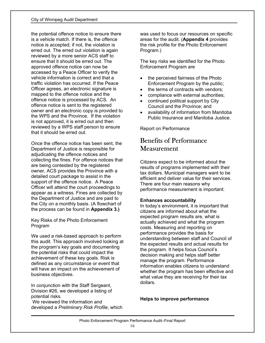the potential offence notice to ensure there is a vehicle match. If there is, the offence notice is accepted; if not, the violation is erred out. The erred out violation is again reviewed by a more senior ACS staff to ensure that it should be erred out. The approved offence notice can now be accessed by a Peace Officer to verify the vehicle information is correct and that a traffic violation has occurred. If the Peace Officer agrees, an electronic signature is mapped to the offence notice and the offence notice is processed by ACS. An offence notice is sent to the registered owner and an electronic copy is provided to the WPS and the Province. If the violation is not approved, it is erred out and then reviewed by a WPS staff person to ensure that it should be erred out.

Once the offence notice has been sent, the Department of Justice is responsible for adjudicating the offence notices and collecting the fines. For offence notices that are being contested by the registered owner, ACS provides the Province with a detailed court package to assist in the support of the offence notice. A Peace Officer will attend the court proceedings to appear as a witness. Fines are collected by the Department of Justice and are paid to the City on a monthly basis. (A flowchart of the process can be found in **Appendix 3.)**

Key Risks of the Photo Enforcement Program

We used a risk-based approach to perform this audit. This approach involved looking at the program's key goals and documenting the potential risks that could impact the achievement of these key goals. Risk is defined as any circumstance or event that will have an impact on the achievement of business objectives.

In conjunction with the Staff Sergeant, Division #26, we developed a listing of potential risks.

 We reviewed the information and developed a *Preliminary Risk Profile*, which was used to focus our resources on specific areas for the audit. (**Appendix 4** provides the risk profile for the Photo Enforcement Program.)

The key risks we identified for the Photo Enforcement Program are

- the perceived fairness of the Photo Enforcement Program by the public;
- the terms of contracts with vendors:
- compliance with external authorities;
- continued political support by City Council and the Province; and
- availability of information from Manitoba Public Insurance and Manitoba Justice.

Report on Performance

### Benefits of Performance **Measurement**

Citizens expect to be informed about the results of programs implemented with their tax dollars. Municipal managers want to be efficient and deliver value for their services. There are four main reasons why performance measurement is important:

### **Enhances accountability**

In today's environment, it is important that citizens are informed about what the expected program results are, what is actually achieved and what the program costs. Measuring and reporting on performance provides the basis for understanding between staff and Council of the expected results and actual results for the program. It helps focus Council's decision making and helps staff better manage the program. Performance information enables citizens to understand whether the program has been effective and what value they are receiving for their tax dollars.

**Helps to improve performance**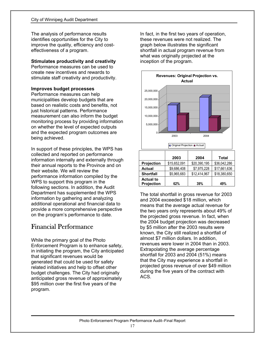The analysis of performance results identifies opportunities for the City to improve the quality, efficiency and costeffectiveness of a program.

### **Stimulates productivity and creativity**

Performance measures can be used to create new incentives and rewards to stimulate staff creativity and productivity.

### **Improves budget processes**

Performance measures can help municipalities develop budgets that are based on realistic costs and benefits, not just historical patterns. Performance measurement can also inform the budget monitoring process by providing information on whether the level of expected outputs and the expected program outcomes are being achieved.

In support of these principles, the WPS has collected and reported on performance information internally and externally through their annual reports to the Province and on their website. We will review the performance information compiled by the WPS to support this program in the following sections. In addition, the Audit Department has supplemented the WPS information by gathering and analyzing additional operational and financial data to provide a more comprehensive perspective on the program's performance to date.

### Financial Performance

While the primary goal of the Photo Enforcement Program is to enhance safety, in initiating the program, the City anticipated that significant revenues would be generated that could be used for safety related initiatives and help to offset other budget challenges. The City had originally anticipated gross revenue of approximately \$95 million over the first five years of the program.

In fact, in the first two years of operation, these revenues were not realized. The graph below illustrates the significant shortfall in actual program revenue from what was originally projected at the inception of the program.



The total shortfall in gross revenue for 2003 and 2004 exceeded \$18 million, which means that the average actual revenue for the two years only represents about 49% of the projected gross revenue. In fact, when the 2004 budget projection was decreased by \$5 million after the 2003 results were known, the City still realized a shortfall of almost \$7 million dollars. In addition, revenues were lower in 2004 than in 2003. Extrapolating the average percentage shortfall for 2003 and 2004 (51%) means that the City may experience a shortfall in projected gross revenue of over \$49 million during the five years of the contract with ACS.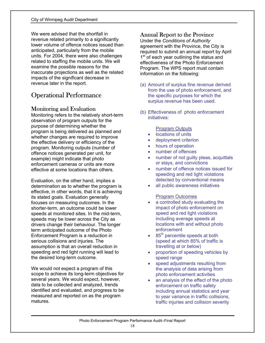We were advised that the shortfall in revenue related primarily to a significantly lower volume of offence notices issued than anticipated, particularly from the mobile units. For 2004, there were also challenges related to staffing the mobile units. We will examine the possible reasons for the inaccurate projections as well as the related impacts of the significant decrease in revenue later in the report.

### Operational Performance

### Monitoring and Evaluation

Monitoring refers to the relatively short-term observation of program outputs for the purpose of determining whether the program is being delivered as planned and whether changes are required to improve the effective delivery or efficiency of the program. Monitoring outputs (number of offence notices generated per unit, for example) might indicate that photo enforcement cameras or units are more effective at some locations than others.

Evaluation, on the other hand, implies a determination as to whether the program is effective, in other words, that it is achieving its stated goals. Evaluation generally focuses on measuring outcomes. In the shorter-term, an outcome could be lower speeds at monitored sites. In the mid-term, speeds may be lower across the City as drivers change their behaviour. The longer term anticipated outcome of the Photo Enforcement Program is a reduction in serious collisions and injuries. The assumption is that an overall reduction in speeding and red light running will lead to the desired long-term outcome.

We would not expect a program of this scope to achieve its long-term objectives for several years. We would expect, however, data to be collected and analyzed, trends identified and evaluated, and progress to be measured and reported on as the program matures.

### Annual Report to the Province

Under the *Conditions of Authority* agreement with the Province, the City is required to submit an annual report by April 1<sup>st</sup> of each year outlining the status and effectiveness of the Photo Enforcement Program. The WPS report must contain information on the following:

- (a) Amount of surplus fine revenue derived from the use of photo enforcement, and the specific purposes for which the surplus revenue has been used.
- (b) Effectiveness of photo enforcement initiatives:

### Program Outputs

- locations of units
- deployment criterion
- hours of operation
- number of offences
- number of not guilty pleas, acquittals or stays, and convictions
- number of offence notices issued for speeding and red light violations detected by conventional means
- all public awareness initiatives

### Program Outcomes

- a controlled study evaluating the impact of photo enforcement on speed and red light violations including average speeds at locations with and without photo enforcement
- $\bullet$  85<sup>th</sup> percentile speeds at both (speed at which 85% of traffic is travelling at or below)
- proportion of speeding vehicles by speed range
- speed adjustments resulting from the analysis of data arising from photo enforcement activities
- an analysis of the effect of the photo enforcement on traffic safety including annual statistics and year to year variance in traffic collisions, traffic injuries and collision severity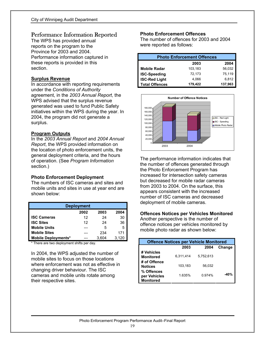### Performance Information Reported

The WPS has provided annual reports on the program to the Province for 2003 and 2004. Performance information captured in these reports is provided in this section.

### **Surplus Revenue**

In accordance with reporting requirements under the *Conditions of Authority* agreement, in the *2003 Annual Report*, the WPS advised that the surplus revenue generated was used to fund Public Safety initiatives within the WPS during the year. In 2004, the program did not generate a surplus.

### **Program Outputs**

In the *2003 Annual Report* and *2004 Annual Report*, the WPS provided information on the location of photo enforcement units, the general deployment criteria, and the hours of operation. (See *Program Information* section.)

### **Photo Enforcement Deployment**

The numbers of ISC cameras and sites and mobile units and sites in use at year end are shown below:

| <b>Deployment</b>          |    |       |       |  |  |
|----------------------------|----|-------|-------|--|--|
| 2003<br>2004<br>2002       |    |       |       |  |  |
| <b>ISC Cameras</b>         | 12 | 24    | 30    |  |  |
| <b>ISC Sites</b>           | 12 | 24    | 36    |  |  |
| <b>Mobile Units</b>        |    | 5     |       |  |  |
| <b>Mobile Sites</b>        |    | 234   | 171   |  |  |
| <b>Mobile Deployments*</b> |    | 3.604 | 3.120 |  |  |

\* There are two deployment shifts per day.

In 2004, the WPS adjusted the number of mobile sites to focus on those locations where enforcement was not as effective in changing driver behaviour. The ISC cameras and mobile units rotate among their respective sites.

### **Photo Enforcement Offences**

The number of offences for 2003 and 2004 were reported as follows:

| <b>Photo Enforcement Offences</b> |         |         |  |  |
|-----------------------------------|---------|---------|--|--|
| 2004<br>2003                      |         |         |  |  |
| <b>Mobile Radar</b>               | 103,183 | 56,032  |  |  |
| <b>ISC-Speeding</b>               | 72.173  | 75,119  |  |  |
| <b>ISC-Red Light</b>              | 4.066   | 6,812   |  |  |
| <b>Total Offences</b>             | 179,422 | 137,963 |  |  |



The performance information indicates that the number of offences generated through the Photo Enforcement Program has increased for intersection safety cameras but decreased for mobile radar cameras from 2003 to 2004. On the surface, this appears consistent with the increased number of ISC cameras and decreased deployment of mobile cameras.

### **Offences Notices per Vehicles Monitored**

Another perspective is the number of offence notices per vehicles monitored by mobile photo radar as shown below:

| <b>Offence Notices per Vehicle Monitored</b>   |           |           |        |  |
|------------------------------------------------|-----------|-----------|--------|--|
|                                                | 2003      | 2004      | Change |  |
| # Vehicles<br><b>Monitored</b>                 | 6,311,414 | 5,752,613 |        |  |
| # of Offence<br><b>Notices</b>                 | 103,183   | 56,032    |        |  |
| % Offences<br>per Vehicles<br><b>Monitored</b> | 1.635%    | 0.974%    | $-40%$ |  |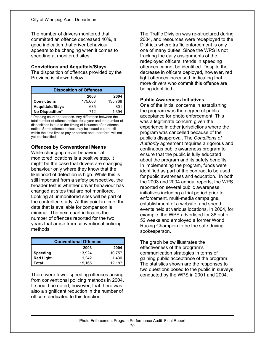The number of drivers monitored that committed an offence decreased 40%, a good indication that driver behaviour appears to be changing when it comes to speeding at monitored sites.

### **Convictions and Acquittals/Stays**

The disposition of offences provided by the Province is shown below:

| <b>Disposition of Offences</b>           |              |  |  |  |  |
|------------------------------------------|--------------|--|--|--|--|
| 2003<br>2004                             |              |  |  |  |  |
| 135,768<br><b>Convictions</b><br>175.603 |              |  |  |  |  |
| <b>Acquittals/Stays</b><br>635<br>801    |              |  |  |  |  |
| No Disposition*                          | 712<br>1 394 |  |  |  |  |

\* Pending court appearance. Any difference between the total number of offence notices for a year and the number of dispositions is due to the timing of issuance of an offence notice. Some offence notices may be issued but are still within the time limit to pay or contest and, therefore, will not yet be classified.

### **Offences by Conventional Means**

While changing driver behaviour at monitored locations is a positive step, it might be the case that drivers are changing behaviour only where they know that the likelihood of detection is high. While this is still important from a safety perspective, the broader test is whether driver behaviour has changed at sites that are not monitored. Looking at unmonitored sites will be part of the controlled study. At this point in time, the data that is available for comparison is minimal. The next chart indicates the number of offences reported for the two years that arose from conventional policing methods:

| <b>Conventional Offences</b> |        |        |  |  |
|------------------------------|--------|--------|--|--|
| 2003<br>2004                 |        |        |  |  |
| <b>Speeding</b>              | 13.924 | 10,757 |  |  |
| <b>Red Light</b>             | 1.242  | 1,430  |  |  |
| Гоtal                        | 15.166 | 12.187 |  |  |

There were fewer speeding offences arising from conventional policing methods in 2004. It should be noted, however, that there was also a significant reduction in the number of officers dedicated to this function.

The Traffic Division was re-structured during 2004, and resources were redeployed to the Districts where traffic enforcement is only one of many duties. Since the WPS is not tracking the daily assignments of the redeployed officers, trends in speeding offences cannot be identified. Despite the decrease in officers deployed, however, red light offences increased, indicating that more drivers who commit this offence are being identified.

### **Public Awareness Initiatives**

One of the initial concerns in establishing the program was the degree of public acceptance for photo enforcement. This was a legitimate concern given the experience in other jurisdictions where the program was cancelled because of the public's disapproval. The *Conditions of Authority* agreement requires a rigorous and continuous public awareness program to ensure that the public is fully educated about the program and its safety benefits. In implementing the program, funds were identified as part of the contract to be used for public awareness and education. In both the 2003 and 2004 annual reports, the WPS reported on several public awareness initiatives including a trial period prior to enforcement, multi-media campaigns, establishment of a website, and speed events held at various locations. In 2004, for example, the WPS advertised for 36 out of 52 weeks and employed a former World Racing Champion to be the safe driving spokesperson.

The graph below illustrates the effectiveness of the program's communication strategies in terms of gaining public acceptance of the program. The statistics shown are the responses to two questions posed to the public in surveys conducted by the WPS in 2001 and 2004.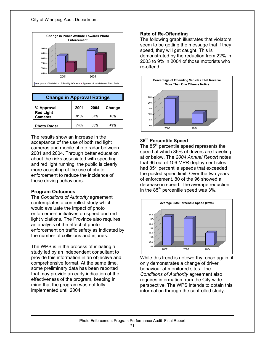

| <b>Change in Approval Ratings</b>         |     |     |       |  |  |
|-------------------------------------------|-----|-----|-------|--|--|
| 2001<br>% Approval<br>2004<br>Change      |     |     |       |  |  |
| <b>Red Light</b><br><b>Cameras</b>        | 81% | 87% | $+6%$ |  |  |
| 74%<br>83%<br>$+9%$<br><b>Photo Radar</b> |     |     |       |  |  |

The results show an increase in the acceptance of the use of both red light cameras and mobile photo radar between 2001 and 2004. Through better education about the risks associated with speeding and red light running, the public is clearly more accepting of the use of photo enforcement to reduce the incidence of these driving behaviours.

### **Program Outcomes**

The *Conditions of Authority* agreement contemplates a controlled study which would evaluate the impact of photo enforcement initiatives on speed and red light violations. The Province also requires an analysis of the effect of photo enforcement on traffic safety as indicated by the number of collisions and injuries.

The WPS is in the process of initiating a study led by an independent consultant to provide this information in an objective and comprehensive format. At the same time, some preliminary data has been reported that may provide an early indication of the effectiveness of the program, keeping in mind that the program was not fully implemented until 2004.

### **Rate of Re-Offending**

The following graph illustrates that violators seem to be getting the message that if they speed, they will get caught. This is demonstrated by the reduction from 22% in 2003 to 9% in 2004 of those motorists who re-offend.



### **85th Percentile Speed**

The 85<sup>th</sup> percentile speed represents the speed at which 85% of drivers are traveling at or below. The *2004 Annual Report* notes that 96 out of 106 MPR deployment sites had 85<sup>th</sup> percentile speeds that exceeded the posted speed limit. Over the two years of enforcement, 80 of the 96 showed a decrease in speed. The average reduction in the  $85<sup>th</sup>$  percentile speed was  $3\%$ .



While this trend is noteworthy, once again, it only demonstrates a change of driver behaviour at monitored sites. The *Conditions of Authority* agreement also requires information from the City-wide perspective. The WPS intends to obtain this information through the controlled study.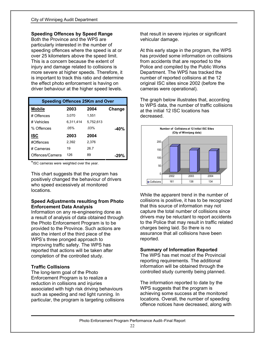### **Speeding Offences by Speed Range**

Both the Province and the WPS are particularly interested in the number of speeding offences where the speed is at or over 25 kilometers above the speed limit. This is a concern because the extent of injury and damage related to collisions is more severe at higher speeds. Therefore, it is important to track this ratio and determine the effect photo enforcement is having on driver behaviour at the higher speed levels.

| <b>Speeding Offences 25Km and Over</b> |           |           |        |  |
|----------------------------------------|-----------|-----------|--------|--|
| <b>Mobile</b>                          | 2003      | 2004      | Change |  |
| # Offences                             | 3.070     | 1.551     |        |  |
| # Vehicles                             | 6,311,414 | 5.752.613 |        |  |
| % Offences                             | .05%      | .03%      | $-40%$ |  |
| ISC                                    | 2003      | 2004      |        |  |
| #Offences                              | 2,392     | 2.376     |        |  |
| # Cameras                              | 19        | 26.7      |        |  |
| Offences/Camera                        | 126       | 89        | -29%   |  |

\*ISC cameras were weighted over the year.

This chart suggests that the program has positively changed the behaviour of drivers who speed excessively at monitored locations.

### **Speed Adjustments resulting from Photo Enforcement Data Analysis**

Information on any re-engineering done as a result of analysis of data obtained through the Photo Enforcement Program is to be provided to the Province. Such actions are also the intent of the third piece of the WPS's three pronged approach to improving traffic safety. The WPS has reported that actions will be taken after completion of the controlled study.

### **Traffic Collisions**

The long-term goal of the Photo Enforcement Program is to realize a reduction in collisions and injuries associated with high risk driving behaviours such as speeding and red light running. In particular, the program is targeting collisions

that result in severe injuries or significant vehicular damage.

At this early stage in the program, the WPS has provided some information on collisions from accidents that are reported to the Police and compiled by the Public Works Department. The WPS has tracked the number of reported collisions at the 12 original ISC sites since 2002 (before the cameras were operational).

The graph below illustrates that, according to WPS data, the number of traffic collisions at the initial 12 ISC locations has decreased.



While the apparent trend in the number of collisions is positive, it has to be recognized that this source of information may not capture the total number of collisions since drivers may be reluctant to report accidents to the Police that may result in traffic related charges being laid. So there is no assurance that all collisions have been reported.

### **Summary of Information Reported**

The WPS has met most of the Provincial reporting requirements. The additional information will be obtained through the controlled study currently being planned.

The information reported to date by the WPS suggests that the program is achieving some success at the monitored locations. Overall, the number of speeding offence notices have decreased, along with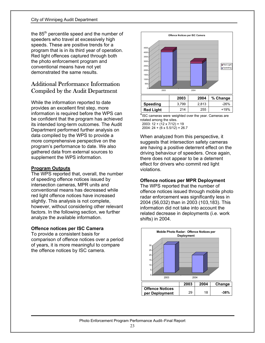the 85<sup>th</sup> percentile speed and the number of speeders who travel at excessively high speeds. These are positive trends for a program that is in its third year of operation. Red light offences captured through both the photo enforcement program and conventional means have not yet demonstrated the same results.

### Additional Performance Information Compiled by the Audit Department

While the information reported to date provides an excellent first step, more information is required before the WPS can be confident that the program has achieved its intended long-term outcomes. The Audit Department performed further analysis on data compiled by the WPS to provide a more comprehensive perspective on the program's performance to date. We also gathered data from external sources to supplement the WPS information.

### **Program Outputs**

The WPS reported that, overall, the number of speeding offence notices issued by intersection cameras, MPR units and conventional means has decreased while red light offence notices have increased slightly. This analysis is not complete, however, without considering other relevant factors. In the following section, we further analyze the available information.

### **Offence notices per ISC Camera**

To provide a consistent basis for comparison of offence notices over a period of years, it is more meaningful to compare the offence notices by ISC camera.



\*ISC cameras were weighted over the year. Cameras are rotated among the sites. 2003: 12 + (12 x 7/12) = 19

2004: 24 +  $(6 \times 5.5/12) = 26.7$ 

When analyzed from this perspective, it suggests that intersection safety cameras are having a positive deterrent effect on the driving behaviour of speeders. Once again, there does not appear to be a deterrent effect for drivers who commit red light violations.

### **Offence notices per MPR Deployment**

The WPS reported that the number of offence notices issued through mobile photo radar enforcement was significantly less in 2004 (56,032) than in 2003 (103,183). This information did not take into account the related decrease in deployments (i.e. work shifts) in 2004.

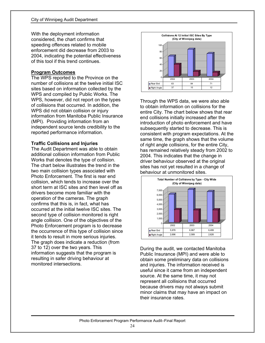With the deployment information considered, the chart confirms that speeding offences related to mobile enforcement did decrease from 2003 to 2004, indicating the potential effectiveness of this tool if this trend continues.

### **Program Outcomes**

The WPS reported to the Province on the number of collisions at the twelve initial ISC sites based on information collected by the WPS and compiled by Public Works. The WPS, however, did not report on the types of collisions that occurred. In addition, the WPS did not obtain collision or injury information from Manitoba Public Insurance (MPI). Providing information from an independent source lends credibility to the reported performance information.

### **Traffic Collisions and Injuries**

The Audit Department was able to obtain additional collision information from Public Works that denotes the type of collision. The chart below illustrates the trend in the two main collision types associated with Photo Enforcement. The first is rear end collision, which tends to increase over the short term at ISC sites and then level off as drivers become more familiar with the operation of the cameras. The graph confirms that this is, in fact, what has occurred at the initial twelve ISC sites. The second type of collision monitored is right angle collision. One of the objectives of the Photo Enforcement program is to decrease the occurrence of this type of collision since it tends to result in more serious injuries. The graph does indicate a reduction (from 37 to 12) over the two years. This information suggests that the program is resulting in safer driving behaviour at monitored intersections.



Through the WPS data, we were also able to obtain information on collisions for the entire City. The chart below shows that rear end collisions initially increased after the introduction of photo enforcement and have subsequently started to decrease. This is consistent with program expectations. At the same time, the graph shows that the volume of right angle collisions, for the entire City, has remained relatively steady from 2002 to 2004. This indicates that the change in driver behaviour observed at the original sites has not yet resulted in a change of behaviour at unmonitored sites.



During the audit, we contacted Manitoba Public Insurance (MPI) and were able to obtain some preliminary data on collisions and injuries. The information received is useful since it came from an independent source. At the same time, it may not represent all collisions that occurred because drivers may not always submit minor claims that may have an impact on their insurance rates.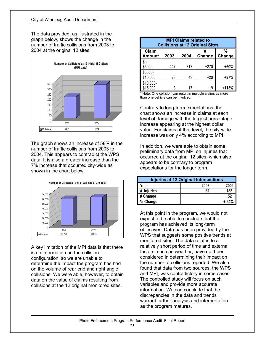The data provided, as illustrated in the graph below, shows the change in the number of traffic collisions from 2003 to 2004 at the original 12 sites.



The graph shows an increase of 58% in the number of traffic collisions from 2003 to 2004. This appears to contradict the WPS data. It is also a greater increase than the 7% increase that occurred city-wide as shown in the chart below.



A key limitation of the MPI data is that there is no information on the collision configuration, so we are unable to determine the impact the program has had on the volume of rear end and right angle collisions. We were able, however, to obtain data on the value of claims resulting from collisions at the 12 original monitored sites.

| <b>MPI Claims related to</b><br><b>Collisions at 12 Original Sites</b> |                                            |     |        |         |  |
|------------------------------------------------------------------------|--------------------------------------------|-----|--------|---------|--|
| Claim<br><b>Amount</b>                                                 | %<br>#<br>2003<br>2004<br>Change<br>Change |     |        |         |  |
| $$0-$<br>\$5000                                                        | 447                                        | 717 | $+270$ | $+60%$  |  |
| \$5000-<br>\$10,000                                                    | 23                                         | 43  | +20    | +87%    |  |
| \$10,000-<br>\$15,000                                                  | 8                                          | 17  | +9     | $+113%$ |  |

\* Note: One collision can result in multiple claims as more than one vehicle can be involved.

Contrary to long-term expectations, the chart shows an increase in claims at each level of damage with the largest percentage increase appearing at the highest dollar value. For claims at that level, the city-wide increase was only 4% according to MPI.

In addition, we were able to obtain some preliminary data from MPI on injuries that occurred at the original 12 sites, which also appears to be contrary to program expectations for the longer term.

| <b>Injuries at 12 Original Intersections</b> |    |        |  |  |
|----------------------------------------------|----|--------|--|--|
| 2003<br>2004<br>Year                         |    |        |  |  |
| # Injuries                                   | 81 | 133    |  |  |
| # Change                                     |    | + 52   |  |  |
| % Change                                     |    | $+64%$ |  |  |

At this point in the program, we would not expect to be able to conclude that the program has achieved its long-term objectives. Data has been provided by the WPS that suggests some positive trends at monitored sites. The data relates to a relatively short period of time and external factors, such as weather, have not been considered in determining their impact on the number of collisions reported. We also found that data from two sources, the WPS and MPI, was contradictory in some cases. The controlled study will focus on such variables and provide more accurate information. We can conclude that the discrepancies in the data and trends warrant further analysis and interpretation as the program matures.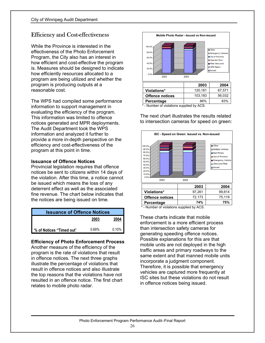### Efficiency and Cost-effectiveness

While the Province is interested in the effectiveness of the Photo Enforcement Program, the City also has an interest in how efficient and cost-effective the program is. Measures should be designed to indicate how efficiently resources allocated to a program are being utilized and whether the program is producing outputs at a reasonable cost.

The WPS had compiled some performance information to support management in evaluating the efficiency of the program. This information was limited to offence notices generated and MPR deployments. The Audit Department took the WPS information and analyzed it further to provide a more in-depth perspective on the efficiency and cost-effectiveness of the program at this point in time.

### **Issuance of Offence Notices**

Provincial legislation requires that offence notices be sent to citizens within 14 days of the violation. After this time, a notice cannot be issued which means the loss of any deterrent effect as well as the associated fine revenue. The chart below indicates that the notices are being issued on time.

| <b>Issuance of Offence Notices</b> |       |       |  |
|------------------------------------|-------|-------|--|
| 2003<br>2004                       |       |       |  |
| % of Notices "Timed out"           | 0.69% | 0.10% |  |

### **Efficiency of Photo Enforcement Process**

Another measure of the efficiency of the program is the rate of violations that result in offence notices. The next three graphs illustrate the percentage of violations that result in offence notices and also illustrate the top reasons that the violations have not resulted in an offence notice. The first chart relates to mobile photo radar.



- Number of violations supplied by ACS.

The next chart illustrates the results related to intersection cameras for speed on green:



- Number of violations supplied by ACS.

These charts indicate that mobile enforcement is a more efficient process than intersection safety cameras for generating speeding offence notices. Possible explanations for this are that mobile units are not deployed in the high traffic areas and primary roadways to the same extent and that manned mobile units incorporate a judgment component. Therefore, it is possible that emergency vehicles are captured more frequently at ISC sites but these violations do not result in offence notices being issued.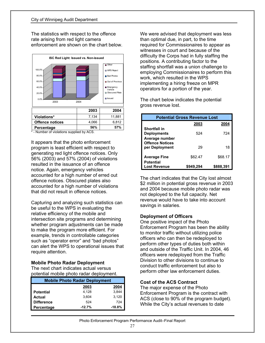The statistics with respect to the offence rate arising from red light camera enforcement are shown on the chart below.



- Number of violations supplied by ACS.

It appears that the photo enforcement program is least efficient with respect to generating red light offence notices. Only 56% (2003) and 57% (2004) of violations resulted in the issuance of an offence notice. Again, emergency vehicles accounted for a high number of erred out offence notices. Obscured plates also accounted for a high number of violations that did not result in offence notices.

Capturing and analyzing such statistics can be useful to the WPS in evaluating the relative efficiency of the mobile and intersection site programs and determining whether program adjustments can be made to make the program more efficient. For example, trends in controllable categories such as "operator error" and "bad photos" can alert the WPS to operational issues that require attention.

### **Mobile Photo Radar Deployment**

The next chart indicates actual versus potential mobile photo radar deployment.

|                   | <b>Mobile Photo Radar Deployment</b> |          |
|-------------------|--------------------------------------|----------|
|                   | 2003                                 | 2004     |
| <b>Potential</b>  | 4,128                                | 3,844    |
| <b>Actual</b>     | 3,604                                | 3,120    |
| <b>Difference</b> | 524                                  | 724      |
| Percentage        | $-12.7%$                             | $-18.8%$ |

We were advised that deployment was less than optimal due, in part, to the time required for Commissionaires to appear as witnesses in court and because of the difficulty the Corps had in fully staffing the positions. A contributing factor to the staffing shortfall was a union challenge to employing Commissionaires to perform this work, which resulted in the WPS implementing a hiring freeze on MPR operators for a portion of the year.

The chart below indicates the potential gross revenue lost.

| <b>Potential Gross Revenue Lost</b>      |           |           |
|------------------------------------------|-----------|-----------|
|                                          | 2003      | 2004      |
| Shortfall in<br><b>Deployments</b>       | 524       | 724       |
| Average number<br><b>Offence Notices</b> |           |           |
| per Deployment                           | 29        | 18        |
| <b>Average Fine</b>                      | \$62.47   | \$68.17   |
| <b>Potential</b><br><b>Lost Revenue</b>  | \$949.294 | \$888,391 |

The chart indicates that the City lost almost \$2 million in potential gross revenue in 2003 and 2004 because mobile photo radar was not deployed to the full capacity. Net revenue would have to take into account savings in salaries.

### **Deployment of Officers**

One positive impact of the Photo Enforcement Program has been the ability to monitor traffic without utilizing police officers who can then be redeployed to perform other types of duties both within and outside of the Traffic Unit. In 2004, 46 officers were redeployed from the Traffic Division to other divisions to continue to conduct traffic enforcement but also to perform other law enforcement duties.

### **Cost of the ACS Contract**

The major expense of the Photo Enforcement Program is the contract with ACS (close to 90% of the program budget). While the City's actual revenues to date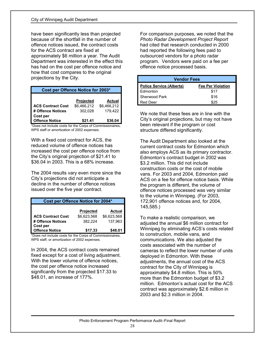have been significantly less than projected because of the shortfall in the number of offence notices issued, the contract costs for the ACS contract are fixed at approximately \$6 million a year. The Audit Department was interested in the effect this has had on the cost per offence notice and how that cost compares to the original projections by the City.

| Cost per Offence Notice for 2003* |             |               |  |
|-----------------------------------|-------------|---------------|--|
|                                   |             |               |  |
|                                   | Projected   | <b>Actual</b> |  |
| <b>ACS Contract Cost</b>          | \$6,466,212 | \$6,466,212   |  |
| # Offence Notices                 | 302,028     | 179,422       |  |
| Cost per                          |             |               |  |
| <b>Offence Notice</b>             | \$21.41     | \$36.04       |  |

\*Does not include costs for the Corps of Commissionaires, WPS staff or amortization of 2002 expenses.

With a fixed cost contract for ACS, the reduced volume of offence notices has increased the cost per offence notice from the City's original projection of \$21.41 to \$36.04 in 2003. This is a 68% increase.

The 2004 results vary even more since the City's projections did not anticipate a decline in the number of offence notices issued over the five year contract.

| Cost per Offence Notice for 2004* |                  |               |  |
|-----------------------------------|------------------|---------------|--|
|                                   | <b>Projected</b> | <u>Actual</u> |  |
| <b>ACS Contract Cost</b>          | \$6.623.568      | \$6,623,568   |  |
| # Offence Notices                 | 382,224          | 137,963       |  |
| Cost per<br><b>Offence Notice</b> | \$17.33          | \$48.01       |  |

\*Does not include costs for the Corps of Commissionaires, WPS staff, or amortization of 2002 expenses.

In 2004, the ACS contract costs remained fixed except for a cost of living adjustment. With the lower volume of offence notices, the cost per offence notice increased significantly from the projected \$17.33 to \$48.01, an increase of 177%.

For comparison purposes, we noted that the *Photo Radar Development Project Report* had cited that research conducted in 2000 had reported the following fees paid to outsourced vendors for a photo radar program. Vendors were paid on a fee per offence notice processed basis.

| <b>Vendor Fees</b>              |                          |  |  |
|---------------------------------|--------------------------|--|--|
| <b>Police Service (Alberta)</b> | <b>Fee Per Violation</b> |  |  |
| Edmonton                        | \$17                     |  |  |
| Sherwood Park                   | \$16                     |  |  |
| Red Deer                        | \$25                     |  |  |

We note that these fees are in line with the City's original projections, but may not have been relevant if the program or cost structure differed significantly.

The Audit Department also looked at the current contract costs for Edmonton which also employs ACS as its primary contractor. Edmonton's contract budget in 2002 was \$3.2 million. This did not include construction costs or the cost of mobile vans. For 2003 and 2004, Edmonton paid ACS on a fee for offence notice basis. While the program is different, the volume of offence notices processed was very similar to the volume in Winnipeg. (For 2003, 172,901 offence notices and, for 2004, 145,585.)

To make a realistic comparison, we adjusted the annual \$6 million contract for Winnipeg by eliminating ACS's costs related to construction, mobile vans, and communications. We also adjusted the costs associated with the number of cameras to reflect the lower number of units deployed in Edmonton. With these adjustments, the annual cost of the ACS contract for the City of Winnipeg is approximately \$4.8 million. This is 50% more than the Edmonton budget of \$3.2 million. Edmonton's actual cost for the ACS contract was approximately \$2.6 million in 2003 and \$2.3 million in 2004.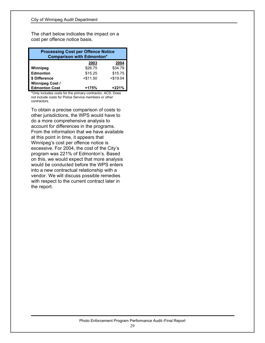The chart below indicates the impact on a cost per offence notice basis.

|                        | <b>Processing Cost per Offence Notice</b><br><b>Comparison with Edmonton*</b> |            |
|------------------------|-------------------------------------------------------------------------------|------------|
|                        | 2003                                                                          | 2004       |
| Winnipeg               | \$26.75                                                                       | \$34.79    |
| <b>Edmonton</b>        | \$15.25                                                                       | \$15.75    |
| \$ Difference          | $+ $11.50$                                                                    | $+ $19.04$ |
| <b>Winnipeg Cost /</b> |                                                                               |            |
| <b>Edmonton Cost</b>   | $+175%$                                                                       | $+221%$    |

\*Only includes costs for the primary contractor, ACS. Does not include costs for Police Service members or other contractors.

To obtain a precise comparison of costs to other jurisdictions, the WPS would have to do a more comprehensive analysis to account for differences in the programs. From the information that we have available at this point in time, it appears that Winnipeg's cost per offence notice is excessive. For 2004, the cost of the City's program was 221% of Edmonton's. Based on this, we would expect that more analysis would be conducted before the WPS enters into a new contractual relationship with a vendor. We will discuss possible remedies with respect to the current contract later in the report.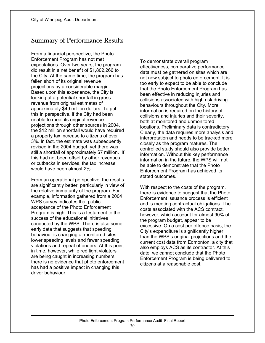### Summary of Performance Results

From a financial perspective, the Photo Enforcement Program has not met expectations. Over two years, the program did result in a net benefit of \$1,802,266 to the City. At the same time, the program has fallen short of its original revenue projections by a considerable margin. Based upon this experience, the City is looking at a potential shortfall in gross revenue from original estimates of approximately \$49 million dollars. To put this in perspective, if the City had been unable to meet its original revenue projections through other sources in 2004, the \$12 million shortfall would have required a property tax increase to citizens of over 3%. In fact, the estimate was subsequently revised in the 2004 budget, yet there was still a shortfall of approximately \$7 million. If this had not been offset by other revenues or cutbacks in services, the tax increase would have been almost 2%.

From an operational perspective, the results are significantly better, particularly in view of the relative immaturity of the program. For example, information gathered from a 2004 WPS survey indicates that public acceptance of the Photo Enforcement Program is high. This is a testament to the success of the educational initiatives conducted by the WPS. There is also some early data that suggests that speeding behaviour is changing at monitored sites: lower speeding levels and fewer speeding violations and repeat offenders. At this point in time, however, while red light violators are being caught in increasing numbers, there is no evidence that photo enforcement has had a positive impact in changing this driver behaviour.

To demonstrate overall program effectiveness, comparative performance data must be gathered on sites which are not now subject to photo enforcement. It is too early to expect to be able to conclude that the Photo Enforcement Program has been effective in reducing injuries and collisions associated with high risk driving behaviours throughout the City. More information is required on the history of collisions and injuries and their severity, both at monitored and unmonitored locations. Preliminary data is contradictory. Clearly, the data requires more analysis and interpretation and needs to be tracked more closely as the program matures. The controlled study should also provide better information. Without this key performance information in the future, the WPS will not be able to demonstrate that the Photo Enforcement Program has achieved its stated outcomes.

With respect to the costs of the program, there is evidence to suggest that the Photo Enforcement issuance process is efficient and is meeting contractual obligations. The costs associated with the ACS contract, however, which account for almost 90% of the program budget, appear to be excessive. On a cost per offence basis, the City's expenditure is significantly higher than the WPS's original projections and the current cost data from Edmonton, a city that also employs ACS as its contractor. At this date, we cannot conclude that the Photo Enforcement Program is being delivered to citizens at a reasonable cost.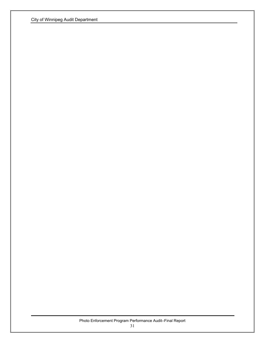City of Winnipeg Audit Department

#### Photo Enforcement Program Performance Audit–Final Report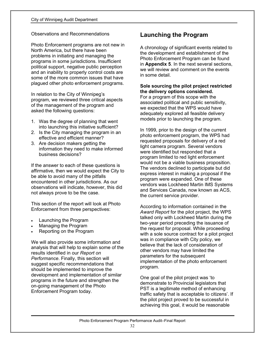Observations and Recommendations

Photo Enforcement programs are not new in North America, but there have been problems in initiating and managing the programs in some jurisdictions. Insufficient political support, negative public perception and an inability to properly control costs are some of the more common issues that have plagued other photo enforcement programs.

In relation to the City of Winnipeg's program, we reviewed three critical aspects of the management of the program and asked the following questions:

- 1. Was the degree of planning that went into launching this initiative sufficient?
- 2. Is the City managing the program in an effective and efficient manner?
- 3. Are decision makers getting the information they need to make informed business decisions?

If the answer to each of these questions is affirmative, then we would expect the City to be able to avoid many of the pitfalls encountered in other jurisdictions. As our observations will indicate, however, this did not always prove to be the case.

This section of the report will look at Photo Enforcement from three perspectives:

- Launching the Program
- Managing the Program
- Reporting on the Program

We will also provide some information and analysis that will help to explain some of the results identified in our *Report on Performance*. Finally, this section will suggest specific recommendations that should be implemented to improve the development and implementation of similar programs in the future and strengthen the on-going management of the Photo Enforcement Program today.

### **Launching the Program**

A chronology of significant events related to the development and establishment of the Photo Enforcement Program can be found in **Appendix 5**. In the next several sections, we will review and comment on the events in some detail.

**Sole sourcing the pilot project restricted the delivery options considered.**  For a program of this scope with the associated political and public sensitivity, we expected that the WPS would have adequately explored all feasible delivery models prior to launching the program.

In 1999, prior to the design of the current photo enforcement program, the WPS had requested proposals for delivery of a red light camera program. Several vendors were identified but responded that a program limited to red light enforcement would not be a viable business proposition. The vendors declined to participate but did express interest in making a proposal if the program were expanded. One of these vendors was Lockheed Martin IMS Systems and Services Canada, now known as ACS, the current service provider.

According to information contained in the *Award Report* for the pilot project, the WPS talked only with Lockheed Martin during the two-year period preceding the issuance of the request for proposal. While proceeding with a sole source contract for a pilot project was in compliance with City policy, we believe that the lack of consideration of other vendors may have limited the parameters for the subsequent implementation of the photo enforcement program.

One goal of the pilot project was 'to demonstrate to Provincial legislators that PST is a legitimate method of enhancing traffic safety that is acceptable to citizens'. If the pilot project proved to be successful in achieving this goal, it would be reasonable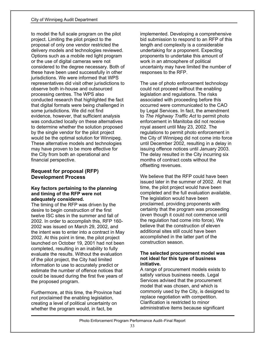to model the full scale program on the pilot project. Limiting the pilot project to the proposal of only one vendor restricted the delivery models and technologies reviewed. Options such as a mobile red light program or the use of digital cameras were not considered to the degree necessary. Both of these have been used successfully in other jurisdictions. We were informed that WPS representatives did visit other jurisdictions to observe both in-house and outsourced processing centres. The WPS also conducted research that highlighted the fact that digital formats were being challenged in some jurisdictions. We did not find evidence, however, that sufficient analysis was conducted locally on these alternatives to determine whether the solution proposed by the single vendor for the pilot project would be the optimal solution for Winnipeg. These alternative models and technologies may have proven to be more effective for the City from both an operational and financial perspective.

### **Request for proposal (RFP) Development Process**

### **Key factors pertaining to the planning and timing of the RFP were not adequately considered.**

The timing of the RFP was driven by the desire to begin construction of the first twelve ISC sites in the summer and fall of 2002. In order to accomplish this, RFP 160- 2002 was issued on March 29, 2002, and the intent was to enter into a contract in May 2002. At this point in time, the pilot project launched on October 19, 2001 had not been completed, resulting in an inability to fully evaluate the results. Without the evaluation of the pilot project, the City had limited information to use to accurately predict or estimate the number of offence notices that could be issued during the first five years of the proposed program.

Furthermore, at this time, the Province had not proclaimed the enabling legislation, creating a level of political uncertainty on whether the program would, in fact, be

implemented. Developing a comprehensive bid submission to respond to an RFP of this length and complexity is a considerable undertaking for a proponent. Expecting proponents to undertake this amount of work in an atmosphere of political uncertainty may have limited the number of responses to the RFP.

The use of photo enforcement technology could not proceed without the enabling legislation and regulations. The risks associated with proceeding before this occurred were communicated to the CAO by Legal Services. In fact, the amendment to *The Highway Traffic Act* to permit photo enforcement in Manitoba did not receive royal assent until May 23, 2002. The regulations to permit photo enforcement in the City of Winnipeg did not come into force until December 2002, resulting in a delay in issuing offence notices until January 2003. The delay resulted in the City incurring six months of contract costs without the offsetting revenues.

We believe that the RFP could have been issued later in the summer of 2002. At that time, the pilot project would have been completed and the full evaluation available. The legislation would have been proclaimed, providing proponents with certainty that the program was proceeding (even though it could not commence until the regulation had come into force). We believe that the construction of eleven additional sites still could have been accomplished in the latter part of the construction season.

### **The selected procurement model was not ideal for this type of business initiative.**

A range of procurement models exists to satisfy various business needs. Legal Services advised that the procurement model that was chosen, and which is commonly used by the City, is designed to replace negotiation with competition. Clarification is restricted to minor administrative items because significant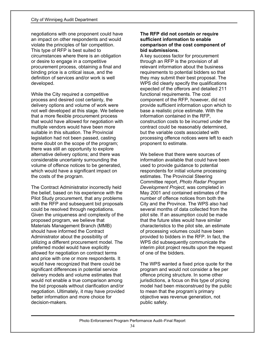negotiations with one proponent could have an impact on other respondents and would violate the principles of fair competition. This type of RFP is best suited to circumstances where there is an obligation or desire to engage in a competitive procurement process, obtaining a final and binding price is a critical issue, and the definition of services and/or work is well developed.

While the City required a competitive process and desired cost certainty, the delivery options and volume of work were not well developed at this stage. We believe that a more flexible procurement process that would have allowed for negotiation with multiple vendors would have been more suitable in this situation. The Provincial legislation had not been passed, casting some doubt on the scope of the program; there was still an opportunity to explore alternative delivery options; and there was considerable uncertainty surrounding the volume of offence notices to be generated, which would have a significant impact on the costs of the program.

The Contract Administrator incorrectly held the belief, based on his experience with the Pilot Study procurement, that any problems with the RFP and subsequent bid proposals could be resolved through negotiations. Given the uniqueness and complexity of the proposed program, we believe that Materials Management Branch (MMB) should have informed the Contract Administrator about the possibility of utilizing a different procurement model. The preferred model would have explicitly allowed for negotiation on contract terms and price with one or more respondents. It would have recognized that there could be significant differences in potential service delivery models and volume estimates that would not enable a true comparison among the bid proposals without clarification and/or negotiation. Ultimately, it may have provided better information and more choice for decision-makers.

### **The RFP did not contain or require sufficient information to enable comparison of the cost component of bid submissions.**

A key success factor for procurement through an RFP is the provision of all relevant information about the business requirements to potential bidders so that they may submit their best proposal. The WPS did clearly specify the qualifications expected of the offerors and detailed 211 functional requirements. The cost component of the RFP, however, did not provide sufficient information upon which to base a realistic price estimate. With the information contained in the RFP, construction costs to be incurred under the contract could be reasonably determined, but the variable costs associated with processing offence notices were left to each proponent to estimate.

We believe that there were sources of information available that could have been used to provide guidance to potential respondents for initial volume processing estimates. The Provincial Steering Committee report, *Photo Radar Program Development Project,* was completed in May 2001 and contained estimates of the number of offence notices from both the City and the Province. The WPS also had several months of data collected from the pilot site. If an assumption could be made that the future sites would have similar characteristics to the pilot site, an estimate of processing volumes could have been provided to bidders in the RFP. In fact, the WPS did subsequently communicate the interim pilot project results upon the request of one of the bidders.

The WPS wanted a fixed price quote for the program and would not consider a fee per offence pricing structure. In some other jurisdictions, a focus on this type of pricing model had been misconstrued by the public to mean that the program's primary objective was revenue generation, not public safety.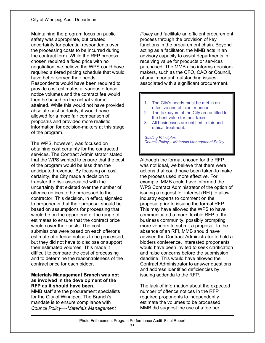Maintaining the program focus on public safety was appropriate, but created uncertainty for potential respondents over the processing costs to be incurred during the contract term. While the RFP process chosen required a fixed price with no negotiation, we believe the WPS could have required a tiered pricing schedule that would have better served their needs. Respondents would have been required to provide cost estimates at various offence notice volumes and the contract fee would then be based on the actual volume attained. While this would not have provided absolute cost certainty, it would have allowed for a more fair comparison of proposals and provided more realistic information for decision-makers at this stage of the program.

The WPS, however, was focused on obtaining cost certainty for the contracted services. The Contract Administrator stated that the WPS wanted to ensure that the cost of the program would be less than the anticipated revenue. By focusing on cost certainty, the City made a decision to transfer the risk associated with the uncertainty that existed over the number of offence notices to be processed to the contractor. This decision, in effect, signaled to proponents that their proposal should be based on assumptions for processing that would be on the upper end of the range of estimates to ensure that the contract price would cover their costs. The cost submissions were based on each offeror's estimate of offence notices to be processed, but they did not have to disclose or support their estimated volumes. This made it difficult to compare the cost of processing and to determine the reasonableness of the contract price for each bidder.

### **Materials Management Branch was not as involved in the development of the RFP as it should have been.**

MMB staff are the procurement specialists for the City of Winnipeg. The Branch's mandate is to ensure compliance with *Council Policy-Materials Management* 

*Policy* and facilitate an efficient procurement process through the provision of key functions in the procurement chain. Beyond acting as a facilitator, the MMB acts in an advisory capacity to assist departments in receiving value for products or services purchased. The MMB also informs decisionmakers, such as the CFO, CAO or Council, of any important, outstanding issues associated with a significant procurement.

- 1. The City's needs must be met in an effective and efficient manner.
- 2. The taxpayers of the City are entitled to the best value for their taxes.
- 3. All businesses are entitled to fair and ethical treatment.

*Guiding Principles Council Policy – Materials Management Policy* 

Although the format chosen for the RFP was not ideal, we believe that there were actions that could have been taken to make the process used more effective. For example, MMB could have informed the WPS Contract Administrator of the option of issuing a request for interest (RFI) to allow industry experts to comment on the proposal prior to issuing the formal RFP. This may have allowed the WPS to have communicated a more flexible RFP to the business community, possibly prompting more vendors to submit a proposal. In the absence of an RFI, MMB should have advised the Contract Administrator to hold a bidders conference. Interested proponents would have been invited to seek clarification and raise concerns before the submission deadline. This would have allowed the Contract Administrator to answer questions and address identified deficiencies by issuing addenda to the RFP.

The lack of information about the expected number of offence notices in the RFP required proponents to independently estimate the volumes to be processed. MMB did suggest the use of a fee per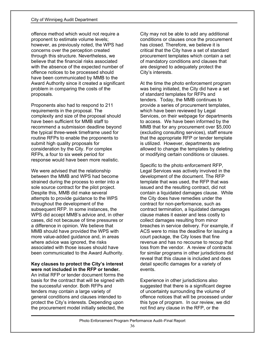offence method which would not require a proponent to estimate volume levels; however, as previously noted, the WPS had concerns over the perception created through this structure. Nevertheless, we believe that the financial risks associated with the absence of the expected number of offence notices to be processed should have been communicated by MMB to the Award Authority since it created a significant problem in comparing the costs of the proposals.

Proponents also had to respond to 211 requirements in the proposal. The complexity and size of the proposal should have been sufficient for MMB staff to recommend a submission deadline beyond the typical three-week timeframe used for routine RFPs to enable the proponents to submit high quality proposals for consideration by the City. For complex RFPs, a four to six week period for response would have been more realistic.

We were advised that the relationship between the MMB and WPS had become strained during the process to enter into a sole source contract for the pilot project. Despite this, MMB did make several attempts to provide guidance to the WPS throughout the development of the subsequent RFP. In some instances, the WPS did accept MMB's advice and, in other cases, did not because of time pressures or a difference in opinion. We believe that MMB should have provided the WPS with more value-added guidance and, in areas where advice was ignored, the risks associated with those issues should have been communicated to the Award Authority.

#### **Key clauses to protect the City's interest were not included in the RFP or tender.**

An initial RFP or tender document forms the basis for the contract that will be signed with the successful vendor. Both RFPs and tenders may contain a large variety of general conditions and clauses intended to protect the City's interests. Depending upon the procurement model initially selected, the

City may not be able to add any additional conditions or clauses once the procurement has closed. Therefore, we believe it is critical that the City have a set of standard procurement templates which contain a set of mandatory conditions and clauses that are designed to adequately protect the City's interests.

At the time the photo enforcement program was being initiated, the City did have a set of standard templates for RFPs and tenders. Today, the MMB continues to provide a series of procurement templates, which have been reviewed by Legal Services, on their webpage for departments to access. We have been informed by the MMB that for any procurement over \$5,000 (excluding consulting services), staff ensure that the appropriate RFP or tender template is utilized. However, departments are allowed to change the templates by deleting or modifying certain conditions or clauses.

Specific to the photo enforcement RFP, Legal Services was actively involved in the development of the document. The RFP template that was used, the RFP that was issued and the resulting contract, did not contain a liquidated damages clause. While the City does have remedies under the contract for non-performance, such as contract termination, a liquidated damages clause makes it easier and less costly to collect damages resulting from minor breaches in service delivery. For example, if ACS were to miss the deadline for issuing a court package, the City loses that fine revenue and has no recourse to recoup that loss from the vendor. A review of contracts for similar programs in other jurisdictions did reveal that this clause is included and does detail specific damages for a variety of events.

Experience in other jurisdictions also suggested that there is a significant degree of uncertainty surrounding the volume of offence notices that will be processed under this type of program. In our review, we did not find any clause in the RFP, or the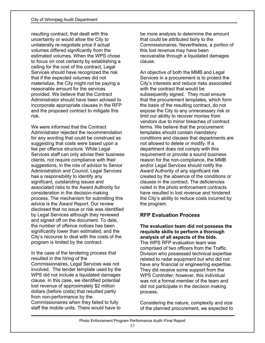resulting contract, that dealt with this uncertainty or would allow the City to unilaterally re-negotiate price if actual volumes differed significantly from the estimated volumes. When the WPS chose to focus on cost certainty by establishing a ceiling for the cost of the contract, Legal Services should have recognized the risk that if the expected volumes did not materialize, the City might not be paying a reasonable amount for the services provided. We believe that the Contract Administrator should have been advised to incorporate appropriate clauses in the RFP and the proposed contract to mitigate this risk.

We were informed that the Contract Administrator rejected the recommendation for any wording that could be construed as suggesting that costs were based upon a fee per offence structure. While Legal Services staff can only advise their business clients, not require compliance with their suggestions, in the role of advisor to Senior Administration and Council, Legal Services has a responsibility to identify any significant, outstanding issues and associated risks to the Award Authority for consideration in the decision-making process. The mechanism for submitting this advice is the *Award Report.* Our review disclosed that no issue or risk was identified by Legal Services although they reviewed and signed off on the document. To date, the number of offence notices has been significantly lower than estimated, and the City's recourse to deal with the costs of the program is limited by the contract.

In the case of the tendering process that resulted in the hiring of the Commissionaires, Legal Services was not involved. The tender template used by the WPS did not include a liquidated damages clause. In this case, we identified potential lost revenue of approximately \$2 million dollars (before costs) that resulted partly from non-performance by the Commissionaires when they failed to fully staff the mobile units. There would have to

be more analysis to determine the amount that could be attributed fairly to the Commissionaires. Nevertheless, a portion of this lost revenue may have been recoverable through a liquidated damages clause.

An objective of both the MMB and Legal Services in a procurement is to protect the City's interests and reduce risks associated with the contract that would be subsequently signed. They must ensure that the procurement templates, which form the basis of the resulting contract, do not expose the City to any unnecessary risk or limit our ability to recover monies from vendors due to minor breaches of contract terms. We believe that the procurement templates should contain mandatory conditions and clauses that departments are not allowed to delete or modify. If a department does not comply with this requirement or provide a sound business reason for the non-compliance, the MMB and/or Legal Services should notify the Award Authority of any significant risk created by the absence of the conditions or clauses in the contract. The deficiencies noted in the photo enforcement contracts have resulted in lost revenue and hindered the City's ability to reduce costs incurred by the program.

### **RFP Evaluation Process**

**The evaluation team did not possess the requisite skills to perform a thorough analysis of all aspects of the bids.**  The WPS RFP evaluation team was comprised of two officers from the Traffic Division who possessed technical expertise related to radar equipment but who did not have any financial or engineering expertise. They did receive some support from the WPS Controller; however, this individual was not a formal member of the team and did not participate in the decision making process.

Considering the nature, complexity and size of the planned procurement, we expected to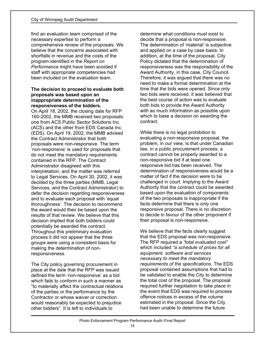find an evaluation team comprised of the necessary expertise to perform a comprehensive review of the proposals. We believe that the concerns associated with shortfalls in revenue and the costs of the program identified in the *Report on Performance* might have been avoided if staff with appropriate competencies had been included on the evaluation team.

#### **The decision to proceed to evaluate both proposals was based upon an inappropriate determination of the responsiveness of the bidders.**

On April 18, 2002, the closing date for RFP 160-2002, the MMB received two proposals: one from ACS Public Sector Solutions Inc. (ACS) and the other from EDS Canada Inc. (EDS). On April 19, 2002, the MMB advised the Contract Administrator that both proposals were non-responsive. The term 'non-responsive' is used for proposals that do not meet the mandatory requirements contained in the RFP. The Contract Administrator disagreed with this interpretation, and the matter was referred to Legal Services. On April 30, 2002, it was decided by the three parties (MMB, Legal Services, and the Contract Administrator) to defer the decision regarding responsiveness and to evaluate each proposal with 'equal thoroughness'. The decision to recommend the award would then be based upon the results of that review. We believe that this decision implied that both bidders could potentially be awarded the contract. Throughout this preliminary evaluation process it did not appear that the three groups were using a consistent basis for making the determination of nonresponsiveness.

The City policy governing procurement in place at the date that the RFP was issued defined the term 'non-responsive' as a bid which fails to conform in such a manner as "to materially affect the contractual relations of the parties or the performance by the Contractor or whose waiver or correction would reasonably be expected to prejudice other bidders". It is left to individuals to

determine what conditions must exist to decide that a proposal is non-responsive. The determination of 'material' is subjective and applied on a case by case basis. In addition, at the time of the proposal, City Policy dictated that the determination of responsiveness was the responsibility of the Award Authority, in this case, City Council. Therefore, it was argued that there was no need to make a formal determination at the time that the bids were opened. Since only two bids were received, it was believed that the best course of action was to evaluate both bids to provide the Award Authority with as much information as possible upon which to base a decision on awarding the contract.

While there is no legal prohibition to evaluating a non-responsive proposal, the problem, in our view, is that under Canadian law, in a public procurement process, a contract cannot be properly awarded to a non-responsive bid if at least one responsive bid has been received. The determination of responsiveness would be a matter of fact if the decision were to be challenged in court. Implying to the Award Authority that the contract could be awarded based upon the evaluation of components of the two proposals is inappropriate if the facts determine that there is only one responsive proposal. There is no discretion to decide in favour of the other proponent if their proposal is non-responsive.

We believe that the facts clearly suggest that the EDS proposal was non-responsive. The RFP required a *"total evaluated cost"* which included *"a schedule of prices for all equipment, software and services necessary to meet the mandatory requirements of the specifications.* The EDS proposal contained assumptions that had to be validated to enable the City to determine the total cost of the proposal. The proposal required further negotiation to take place in the event that EDS was required to process offence notices in excess of the volume estimated in the proposal. Since the City had been unable to determine the future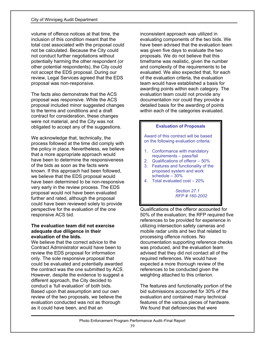volume of offence notices at that time, the inclusion of this condition meant that the total cost associated with the proposal could not be calculated. Because the City could not conduct further negotiations without potentially harming the other respondent (or other potential respondents), the City could not accept the EDS proposal. During our review, Legal Services agreed that the EDS proposal was non-responsive.

The facts also demonstrate that the ACS proposal was responsive. While the ACS proposal included minor suggested changes to the terms and conditions and a draft contract for consideration, these changes were not material, and the City was not obligated to accept any of the suggestions.

We acknowledge that, technically, the process followed at the time did comply with the policy in place. Nevertheless, we believe that a more appropriate approach would have been to determine the responsiveness of the bids as soon as the facts were known. If this approach had been followed, we believe that the EDS proposal would have been determined to be non-responsive very early in the review process. The EDS proposal would not have been evaluated further and rated, although the proposal could have been reviewed solely to provide perspective for the evaluation of the one responsive ACS bid.

### **The evaluation team did not exercise adequate due diligence in their evaluation of the bids.**

We believe that the correct advice to the Contract Administrator would have been to review the EDS proposal for information only. The sole responsive proposal that could be evaluated and potentially awarded the contract was the one submitted by ACS. However, despite the evidence to suggest a different approach, the City decided to conduct a 'full evaluation' of both bids. Based upon that assumption and our own review of the two proposals, we believe the evaluation conducted was not as thorough as it could have been, and that an

inconsistent approach was utilized in evaluating components of the two bids. We have been advised that the evaluation team was given five days to evaluate the two proposals. We do not believe that this timeframe was realistic, given the number and complexity of the requirements to be evaluated. We also expected that, for each of the evaluation criteria, the evaluation team would have established a basis for awarding points within each category. The evaluation team could not provide any documentation nor could they provide a detailed basis for the awarding of points within each of the categories evaluated.

### **Evaluation of Proposals**  Award of this contract will be based on the following evaluation criteria: 1. Conformance with mandatory requirements – pass/fail 2. Qualifications of offeror – 50% 3. Features and functionality of the proposed system and work schedule – 30% 4. Total evaluated cost – 20% *Section 27.1 RFP # 160-2002*

Qualifications of the offeror accounted for 50% of the evaluation; the RFP required five references to be provided for experience in utilizing intersection safety cameras and mobile radar units and two that related to processing offence notices. No documentation supporting reference checks was produced, and the evaluation team advised that they did not contact all of the required references. We would have expected a more thorough review of the references to be conducted given the weighting attached to this criterion.

The features and functionality portion of the bid submissions accounted for 30% of the evaluation and contained many technical features of the various pieces of hardware. We found that deficiencies that were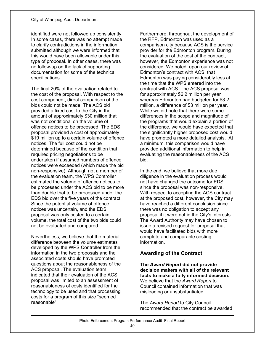identified were not followed up consistently. In some cases, there was no attempt made to clarify contradictions in the information submitted although we were informed that this would have been allowable under this type of proposal. In other cases, there was no follow-up on the lack of supporting documentation for some of the technical specifications.

The final 20% of the evaluation related to the cost of the proposal. With respect to the cost component, direct comparison of the bids could not be made. The ACS bid provided a fixed cost to the City in the amount of approximately \$30 million that was not conditional on the volume of offence notices to be processed. The EDS proposal provided a cost of approximately \$19 million up to a certain volume of offence notices. The full cost could not be determined because of the condition that required pricing negotiations to be undertaken if assumed numbers of offence notices were exceeded (which made the bid non-responsive). Although not a member of the evaluation team, the WPS Controller estimated the volume of offence notices to be processed under the ACS bid to be more than double that to be processed under the EDS bid over the five years of the contract. Since the potential volume of offence notices was uncertain, and the EDS proposal was only costed to a certain volume, the total cost of the two bids could not be evaluated and compared.

Nevertheless, we believe that the material difference between the volume estimates developed by the WPS Controller from the information in the two proposals and the associated costs should have prompted questions about the reasonableness of the ACS proposal. The evaluation team indicated that their evaluation of the ACS proposal was limited to an assessment of reasonableness of costs identified for the technology to be used and that processing costs for a program of this size "seemed reasonable".

Furthermore, throughout the development of the RFP, Edmonton was used as a comparison city because ACS is the service provider for the Edmonton program. During the evaluation of the cost of the contract, however, the Edmonton experience was not considered. We noted, upon our review of Edmonton's contract with ACS, that Edmonton was paying considerably less at the time that the WPS entered into the contract with ACS. The ACS proposal was for approximately \$6.2 million per year whereas Edmonton had budgeted for \$3.2 million, a difference of \$3 million per year. While we did note that there were some differences in the scope and magnitude of the programs that would explain a portion of the difference, we would have expected that the significantly higher proposed cost would have prompted a more detailed analysis. At a minimum, this comparison would have provided additional information to help in evaluating the reasonableness of the ACS bid.

In the end, we believe that more due diligence in the evaluation process would not have changed the outcome for EDS since the proposal was non-responsive. With respect to accepting the ACS contract at the proposed cost, however, the City may have reached a different conclusion since there was no obligation to accept any proposal if it were not in the City's interests. The Award Authority may have chosen to issue a revised request for proposal that would have facilitated bids with more complete and comparable costing information.

### **Awarding of the Contract**

**The** *Award Report* **did not provide decision makers with all of the relevant facts to make a fully informed decision.**  We believe that the *Award Report* to Council contained information that was misleading or unsubstantiated.

The *Award Report* to City Council recommended that the contract be awarded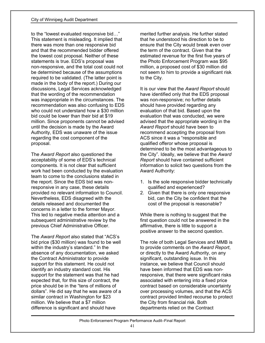to the "lowest evaluated responsive bid…" This statement is misleading. It implied that there was more than one responsive bid and that the recommended bidder offered the lowest cost proposal. Neither of these statements is true. EDS's proposal was non-responsive, and the total cost could not be determined because of the assumptions required to be validated. (The latter point is made in the body of the report.) During our discussions, Legal Services acknowledged that the wording of the recommendation was inappropriate in the circumstances. The recommendation was also confusing to EDS who could not understand how a \$30 million bid could be lower than their bid at \$19 million. Since proponents cannot be advised until the decision is made by the Award Authority, EDS was unaware of the issue regarding the cost component of the proposal.

The *Award Report* also questioned the acceptability of some of EDS's technical components. It is not clear that sufficient work had been conducted by the evaluation team to come to the conclusions stated in the report. Since the EDS bid was nonresponsive in any case, these details provided no relevant information to Council. Nevertheless, EDS disagreed with the details released and documented the concerns in a letter to the former Mayor. This led to negative media attention and a subsequent administrative review by the previous Chief Administrative Officer.

The *Award Report* also stated that "ACS's bid price (\$30 million) was found to be well within the industry's standard." In the absence of any documentation, we asked the Contract Administrator to provide support for this statement. He could not identify an industry standard cost. His support for the statement was that he had expected that, for this size of contract, the price should be in the "tens of millions of dollars". He did say that he was aware of a similar contract in Washington for \$23 million. We believe that a \$7 million difference is significant and should have

merited further analysis. He further stated that he understood his direction to be to ensure that the City would break even over the term of the contract. Given that the estimated revenue for the first five years of the Photo Enforcement Program was \$95 million, a proposed cost of \$30 million did not seem to him to provide a significant risk to the City.

It is our view that the *Award Report* should have identified only that the EDS proposal was non-responsive; no further details should have provided regarding any evaluation of that bid. Based upon the evaluation that was conducted, we were advised that the appropriate wording in the *Award Report* should have been to recommend accepting the proposal from ACS since it was a "responsible and qualified offeror whose proposal is determined to be the most advantageous to the City". Ideally, we believe that the *Award Report* should have contained sufficient information to solicit two questions from the Award Authority:

- 1. Is the sole responsive bidder technically qualified and experienced?
- 2. Given that there is only one responsive bid, can the City be confident that the cost of the proposal is reasonable?

While there is nothing to suggest that the first question could not be answered in the affirmative, there is little to support a positive answer to the second question.

The role of both Legal Services and MMB is to provide comments on the *Award Report*, or directly to the Award Authority, on any significant, outstanding issue. In this instance, we believe that Council should have been informed that EDS was nonresponsive, that there were significant risks associated with entering into a fixed price contract based on considerable uncertainty over processing volumes, and that the ACS contract provided limited recourse to protect the City from financial risk. Both departments relied on the Contract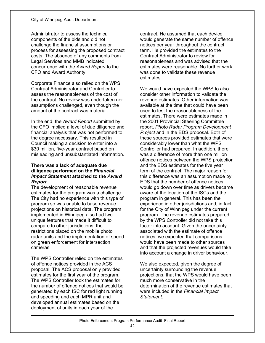Administrator to assess the technical components of the bids and did not challenge the financial assumptions or process for assessing the proposed contract costs. The absence of any comments from Legal Services and MMB indicated concurrence with the *Award Report* to the CFO and Award Authority.

Corporate Finance also relied on the WPS Contract Administrator and Controller to assess the reasonableness of the cost of the contract. No review was undertaken nor assumptions challenged, even though the amount of the contract was material.

In the end, the *Award Report* submitted by the CFO implied a level of due diligence and financial analysis that was not performed to the degree necessary. This resulted in Council making a decision to enter into a \$30 million, five-year contract based on misleading and unsubstantiated information.

### **There was a lack of adequate due diligence performed on the** *Financial Impact Statement* **attached to the** *Award Report***.**

The development of reasonable revenue estimates for the program was a challenge. The City had no experience with this type of program so was unable to base revenue projections on historical data. The program implemented in Winnipeg also had two unique features that made it difficult to compare to other jurisdictions: the restrictions placed on the mobile photo radar units and the implementation of speed on green enforcement for intersection cameras.

The WPS Controller relied on the estimates of offence notices provided in the ACS proposal. The ACS proposal only provided estimates for the first year of the program. The WPS Controller took the estimates for the number of offence notices that would be generated by each ISC for red light running and speeding and each MPR unit and developed annual estimates based on the deployment of units in each year of the

contract. He assumed that each device would generate the same number of offence notices per year throughout the contract term. He provided the estimates to the Contract Administrator to review for reasonableness and was advised that the estimates were reasonable. No further work was done to validate these revenue estimates.

We would have expected the WPS to also consider other information to validate the revenue estimates. Other information was available at the time that could have been used to test the reasonableness of the estimates. There were estimates made in the 2001 Provincial Steering Committee report, *Photo Radar Program Development Project* and in the EDS proposal. Both of these sources provided estimates that were considerably lower than what the WPS Controller had prepared. In addition, there was a difference of more than one million offence notices between the WPS projection and the EDS estimates for the five year term of the contract. The major reason for this difference was an assumption made by EDS that the number of offence notices would go down over time as drivers became aware of the location of the ISCs and the program in general. This has been the experience in other jurisdictions and, in fact, for the City of Winnipeg under the current program. The revenue estimates prepared by the WPS Controller did not take this factor into account. Given the uncertainty associated with the estimate of offence notices, we expected that comparisons would have been made to other sources and that the projected revenues would take into account a change in driver behaviour.

We also expected, given the degree of uncertainty surrounding the revenue projections, that the WPS would have been much more conservative in the determination of the revenue estimates that were included in the *Financial Impact Statement*.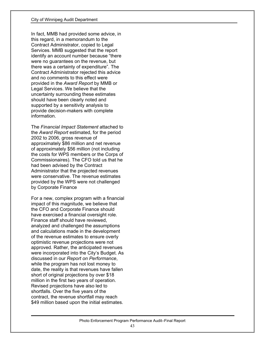In fact, MMB had provided some advice, in this regard, in a memorandum to the Contract Administrator, copied to Legal Services. MMB suggested that the report identify an account number because "there were no guarantees on the revenue, but there was a certainty of expenditure". The Contract Administrator rejected this advice and no comments to this effect were provided in the *Award Report* by MMB or Legal Services. We believe that the uncertainty surrounding these estimates should have been clearly noted and supported by a sensitivity analysis to provide decision-makers with complete information.

The *Financial Impact Statement* attached to the *Award Report* estimated, for the period 2002 to 2006, gross revenue of approximately \$86 million and net revenue of approximately \$56 million (not including the costs for WPS members or the Corps of Commissionaires). The CFO told us that he had been advised by the Contract Administrator that the projected revenues were conservative. The revenue estimates provided by the WPS were not challenged by Corporate Finance

For a new, complex program with a financial impact of this magnitude, we believe that the CFO and Corporate Finance should have exercised a financial oversight role. Finance staff should have reviewed, analyzed and challenged the assumptions and calculations made in the development of the revenue estimates to ensure overly optimistic revenue projections were not approved. Rather, the anticipated revenues were incorporated into the City's Budget. As discussed in our *Report on Performance*, while the program has not lost money to date, the reality is that revenues have fallen short of original projections by over \$18 million in the first two years of operation. Revised projections have also led to shortfalls. Over the five years of the contract, the revenue shortfall may reach \$49 million based upon the initial estimates.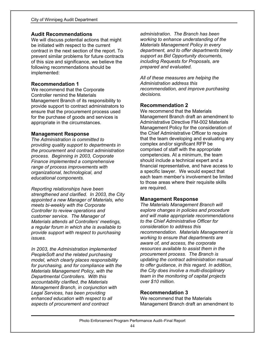### **Audit Recommendations**

We will discuss potential actions that might be initiated with respect to the current contract in the next section of the report. To prevent similar problems for future contracts of this size and significance, we believe the following recommendations should be implemented:

### **Recommendation 1**

We recommend that the Corporate Controller remind the Materials Management Branch of its responsibility to provide support to contract administrators to ensure that the procurement process used for the purchase of goods and services is appropriate in the circumstances.

### **Management Response**

*The Administration is committed to providing quality support to departments in the procurement and contract administration process. Beginning in 2003, Corporate Finance implemented a comprehensive range of process improvements with organizational, technological, and educational components.* 

*Reporting relationships have been strengthened and clarified. In 2003, the City appointed a new Manager of Materials, who meets bi-weekly with the Corporate Controller to review operations and customer service. The Manager of Materials attends all Controllers' meetings, a regular forum in which she is available to provide support with respect to purchasing issues.* 

*In 2003, the Administration implemented PeopleSoft and the related purchasing model, which clearly places responsibility for purchasing, and for compliance with the Materials Management Policy, with the Departmental Controllers. With this accountability clarified, the Materials Management Branch, in conjunction with Legal Services, has been providing enhanced education with respect to all aspects of procurement and contract* 

*administration. The Branch has been working to enhance understanding of the Materials Management Policy in every department, and to offer departments timely support as Bid Opportunity documents, including Requests for Proposals, are prepared and evaluated.* 

*All of these measures are helping the Administration address this recommendation, and improve purchasing decisions.* 

### **Recommendation 2**

We recommend that the Materials Management Branch draft an amendment to Administrative Directive FM-002 Materials Management Policy for the consideration of the Chief Administrative Officer to require that the team developing and evaluating any complex and/or significant RFP be comprised of staff with the appropriate competencies. At a minimum, the team should include a technical expert and a financial representative, and have access to a specific lawyer. We would expect that each team member's involvement be limited to those areas where their requisite skills are required.

### **Management Response**

*The Materials Management Branch will explore changes in policies and procedure and will make appropriate recommendations to the Chief Administrative Officer for consideration to address this recommendation. Materials Management is working to ensure that departments are aware of, and access, the corporate resources available to assist them in the procurement process. The Branch is updating the contract administration manual to offer guidance, in this regard. In addition, the City does involve a multi-disciplinary team in the monitoring of capital projects over \$10 million.* 

### **Recommendation 3**

We recommend that the Materials Management Branch draft an amendment to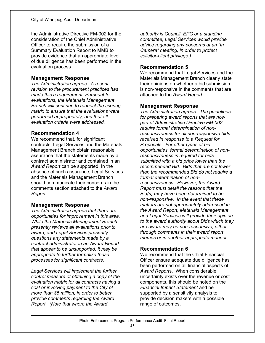the Administrative Directive FM-002 for the consideration of the Chief Administrative Officer to require the submission of a Summary Evaluation Report to MMB to provide evidence that an appropriate level of due diligence has been performed in the evaluation process.

### **Management Response**

*The Administration agrees. A recent revision to the procurement practices has made this a requirement. Pursuant to evaluations, the Materials Management Branch will continue to request the scoring matrix to ensure that the evaluations were performed appropriately, and that all evaluation criteria were addressed.* 

### **Recommendation 4**

We recommend that, for significant contracts, Legal Services and the Materials Management Branch obtain reasonable assurance that the statements made by a contract administrator and contained in an *Award Report* can be supported. In the absence of such assurance, Legal Services and the Materials Management Branch should communicate their concerns in the comments section attached to the *Award Report*.

### **Management Response**

*The Administration agrees that there are opportunities for improvement in this area. While the Materials Management Branch presently reviews all evaluations prior to award, and Legal Services presently questions any statements made by a contract administrator in an Award Report that appear to be unsupported, it may be appropriate to further formalize these processes for significant contracts.* 

*Legal Services will implement the further control measure of obtaining a copy of the evaluation matrix for all contracts having a cost or involving payment to the City of more than \$5 million, in order to better provide comments regarding the Award Report. (Note that where the Award* 

*authority is Council, EPC or a standing committee, Legal Services would provide advice regarding any concerns at an "In Camera" meeting, in order to protect solicitor-client privilege.)* 

### **Recommendation 5**

We recommend that Legal Services and the Materials Management Branch clearly state their opinions on whether a bid submission is non-responsive in the comments that are attached to the *Award Report*.

### **Management Response**

*The Administration agrees. The guidelines for preparing award reports that are now part of Administrative Directive FM-002 require formal determination of nonresponsiveness for all non-responsive bids received in response to a Request for Proposals. For other types of bid opportunities, formal determination of nonresponsiveness is required for bids submitted with a bid price lower than the recommended Bid. Bids that are not lower than the recommended Bid do not require a formal determination of nonresponsiveness. However, the Award Report must detail the reasons that the Bid(s) may have been determined to be non-responsive. In the event that these matters are not appropriately addressed in the Award Report, Materials Management and Legal Services will provide their opinion to the award authority about Bids which they are aware may be non-responsive, either through comments in their award report memos or in another appropriate manner.* 

### **Recommendation 6**

We recommend that the Chief Financial Officer ensure adequate due diligence has been performed on all financial aspects of *Award Report*s. When considerable uncertainty exists over the revenue or cost components, this should be noted on the *Financial Impact Statement* and be supported by a sensitivity analysis to provide decision makers with a possible range of outcomes.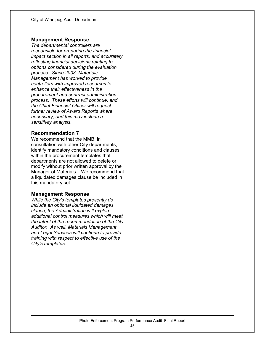### **Management Response**

*The departmental controllers are responsible for preparing the financial impact section in all reports, and accurately reflecting financial decisions relating to options considered during the evaluation process. Since 2003, Materials Management has worked to provide controllers with improved resources to enhance their effectiveness in the procurement and contract administration process. These efforts will continue, and the Chief Financial Officer will request further review of Award Reports where necessary, and this may include a sensitivity analysis.*

### **Recommendation 7**

We recommend that the MMB, in consultation with other City departments, identify mandatory conditions and clauses within the procurement templates that departments are not allowed to delete or modify without prior written approval by the Manager of Materials. We recommend that a liquidated damages clause be included in this mandatory set.

#### **Management Response**

*While the City's templates presently do include an optional liquidated damages clause, the Administration will explore additional control measures which will meet the intent of the recommendation of the City Auditor. As well, Materials Management and Legal Services will continue to provide training with respect to effective use of the City's templates.*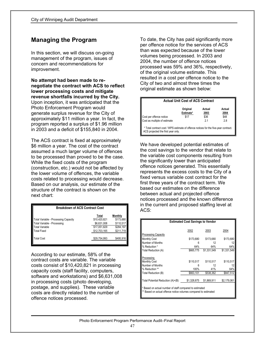### **Managing the Program**

In this section, we will discuss on-going management of the program, issues of concern and recommendations for improvement.

**No attempt had been made to renegotiate the contract with ACS to reflect lower processing costs and mitigate revenue shortfalls incurred by the City.**  Upon inception, it was anticipated that the Photo Enforcement Program would generate surplus revenue for the City of approximately \$11 million a year. In fact, the program reported a surplus of \$1.96 million in 2003 and a deficit of \$155,840 in 2004.

The ACS contract is fixed at approximately \$6 million a year. The cost of the contract assumed a much larger volume of offences to be processed than proved to be the case. While the fixed costs of the program (construction, etc.) would not be affected by the lower volume of offences, the variable costs related to processing would decrease. Based on our analysis, our estimate of the structure of the contract is shown on the next chart:

| <b>Breakdown of ACS Contract Cost</b> |              |           |  |  |
|---------------------------------------|--------------|-----------|--|--|
|                                       | Total        | Monthly   |  |  |
| Total Variable - Processing Capacity  | \$10,420,821 | \$173,680 |  |  |
| Total Variable - Processing           | \$6,631,008  | \$110,517 |  |  |
| <b>Total Variable</b>                 | \$17,051,829 | \$284,197 |  |  |
| <b>Total Fixed</b>                    | \$12,703,165 | \$211,719 |  |  |
| <b>Total Cost</b>                     | \$29,754,993 | \$495,916 |  |  |

According to our estimate, 58% of the contract costs are variable. The variable costs consist of \$10,420,821 in processing capacity costs (staff facility, computers, software and workstations) and \$6,631,008 in processing costs (photo developing, postage, and supplies). These variable costs are directly related to the number of offence notices processed.

To date, the City has paid significantly more per offence notice for the services of ACS than was expected because of the lower volumes being processed. In 2003 and 2004, the number of offence notices processed was 59% and 36%, respectively, of the original volume estimate. This resulted in a cost per offence notice to the City of two and almost three times the original estimate as shown below:

| Original<br>Actual<br>2003 | Actual<br>2004                                                                                           |
|----------------------------|----------------------------------------------------------------------------------------------------------|
| \$36                       | \$48                                                                                                     |
| 21                         | 2.8                                                                                                      |
|                            | Estimate*<br>\$17<br>* Total contract cost / WPS estimate of offence notices for the five-year contract. |

We have developed potential estimates of the cost savings to the vendor that relate to the variable cost components resulting from the significantly lower than anticipated offence notices generated. This essentially represents the excess costs to the City of a fixed versus variable cost contract for the first three years of the contract term. We based our estimates on the difference between actual and projected offence notices processed and the known difference in the current and proposed staffing level at ACS:

|                                                                                                                            | <b>Estimated Cost Savings to Vendor</b> |             |             |
|----------------------------------------------------------------------------------------------------------------------------|-----------------------------------------|-------------|-------------|
| <b>Processing Capacity</b>                                                                                                 | 2002                                    | 2003        | 2004        |
| <b>Monthly Cost</b>                                                                                                        | \$173,680                               | \$173,680   | \$173,680   |
| Number of Months                                                                                                           |                                         | 12          | 12          |
| % Reduction *                                                                                                              | 64%                                     | 64%         | 64%         |
| Total Reduction (A)                                                                                                        | \$665,775                               | \$1,331,549 | \$1.331.549 |
| Processing                                                                                                                 |                                         |             |             |
| <b>Monthly Cost</b>                                                                                                        | \$110,517                               | \$110,517   | \$110,517   |
| Number of Months                                                                                                           | 6                                       | 12          | 12          |
| % Reduction **                                                                                                             | 100%                                    | 41%         | 64%         |
| Total Reduction (B)                                                                                                        | \$663,101                               | \$538,362   | \$847,512   |
| Total Potential Reduction (A)+(B)                                                                                          | \$1,328,875                             | \$1,869,911 | \$2,179,061 |
| * Based on actual number of staff compared to estimated<br>** Based on actual offence notice volumes compared to estimated |                                         |             |             |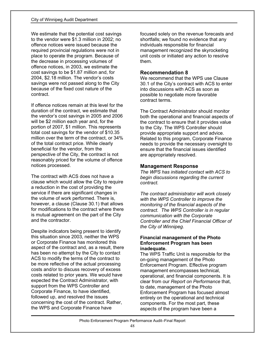We estimate that the potential cost savings to the vendor were \$1.3 million in 2002; no offence notices were issued because the required provincial regulations were not in place to operate the program. Because of the decrease in processing volumes of offence notices, in 2003, we estimate the cost savings to be \$1.87 million and, for 2004, \$2.18 million. The vendor's costs savings were not passed along to the City because of the fixed cost nature of the contract.

If offence notices remain at this level for the duration of the contract, we estimate that the vendor's cost savings in 2005 and 2006 will be \$2 million each year and, for the portion of 2007, \$1 million. This represents total cost savings for the vendor of \$10.35 million over the term of the contract, or 34% of the total contract price. While clearly beneficial for the vendor, from the perspective of the City, the contract is not reasonably priced for the volume of offence notices processed.

The contract with ACS does not have a clause which would allow the City to require a reduction in the cost of providing the service if there are significant changes in the volume of work performed. There is, however, a clause (Clause 30.1) that allows for modifications to the contract where there is mutual agreement on the part of the City and the contractor.

Despite indicators being present to identify this situation since 2003, neither the WPS or Corporate Finance has monitored this aspect of the contract and, as a result, there has been no attempt by the City to contact ACS to modify the terms of the contract to be more reflective of the actual processing costs and/or to discuss recovery of excess costs related to prior years. We would have expected the Contract Administrator, with support from the WPS Controller and Corporate Finance, to have identified, followed up, and resolved the issues concerning the cost of the contract. Rather, the WPS and Corporate Finance have

focused solely on the revenue forecasts and shortfalls; we found no evidence that any individuals responsible for financial management recognized the skyrocketing unit costs or initiated any action to resolve them.

### **Recommendation 8**

We recommend that the WPS use Clause 30.1 of the City's contract with ACS to enter into discussions with ACS as soon as possible to negotiate more favorable contract terms.

The Contract Administrator should monitor both the operational and financial aspects of the contract to ensure that it provides value to the City. The WPS Controller should provide appropriate support and advice. Related to this program, Corporate Finance needs to provide the necessary oversight to ensure that the financial issues identified are appropriately resolved.

### **Management Response**

*The WPS has initiated contact with ACS to begin discussions regarding the current contract.* 

*The contract administrator will work closely with the WPS Controller to improve the monitoring of the financial aspects of the contract. The WPS Controller is in regular communication with the Corporate Controller and the Chief Financial Officer of the City of Winnipeg.* 

#### **Financial management of the Photo Enforcement Program has been inadequate.**

The WPS Traffic Unit is responsible for the on-going management of the Photo Enforcement Program. Effective program management encompasses technical, operational, and financial components. It is clear from our *Report on Performance* that, to date, management of the Photo Enforcement Program has focused almost entirely on the operational and technical components. For the most part, these aspects of the program have been a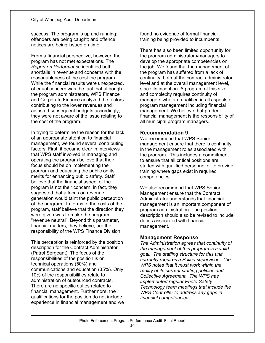success. The program is up and running; offenders are being caught; and offence notices are being issued on time.

From a financial perspective, however, the program has not met expectations. The *Report on Performance* identified both shortfalls in revenue and concerns with the reasonableness of the cost the program. While the financial results were unexpected, of equal concern was the fact that although the program administrators, WPS Finance and Corporate Finance analyzed the factors contributing to the lower revenues and adjusted subsequent budgets accordingly, they were not aware of the issue relating to the cost of the program.

In trying to determine the reason for the lack of an appropriate attention to financial management, we found several contributing factors. First, it became clear in interviews that WPS staff involved in managing and operating the program believe that their focus should be on implementing the program and educating the public on its merits for enhancing public safety. Staff believe that the financial aspect of the program is not their concern; in fact, they suggested that a focus on revenue generation would taint the public perception of the program. In terms of the costs of the program, staff believe that the direction they were given was to make the program "revenue neutral". Beyond this parameter, financial matters, they believe, are the responsibility of the WPS Finance Division.

This perception is reinforced by the position description for the Contract Administrator (Patrol Sergeant). The focus of the responsibilities of the position is on technical operations (50%) and communications and education (35%). Only 10% of the responsibilities relate to administration of outsourced contracts. There are no specific duties related to financial management. Furthermore, the qualifications for the position do not include experience in financial management and we

found no evidence of formal financial training being provided to incumbents.

There has also been limited opportunity for the program administrators/managers to develop the appropriate competencies on the job. We found that the management of the program has suffered from a lack of continuity, both at the contract administrator level and at the overall management level, since its inception. A program of this size and complexity requires continuity of managers who are qualified in all aspects of program management including financial management. We believe that prudent financial management is the responsibility of all municipal program managers.

### **Recommendation 9**

We recommend that WPS Senior management ensure that there is continuity in the management roles associated with the program. This includes a commitment to ensure that all critical positions are staffed with qualified personnel or to provide training where gaps exist in required competencies.

We also recommend that WPS Senior Management ensure that the Contract Administrator understands that financial management is an important component of program administration. The position description should also be revised to include duties associated with financial management.

### **Management Response**

*The Administration agrees that continuity of the management of this program is a valid goal. The staffing structure for this unit currently requires a Police supervisor. The WPS notes that it must work within the reality of its current staffing policies and Collective Agreement. The WPS has implemented regular Photo Safety Technology team meetings that include the WPS Controller to address any gaps in financial competencies.*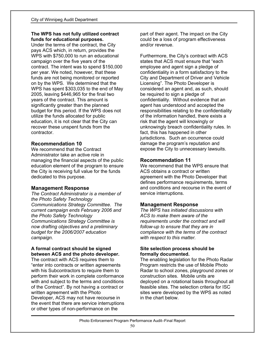### **The WPS has not fully utilized contract funds for educational purposes.**

Under the terms of the contract, the City pays ACS which, in return, provides the WPS with \$750,000 to run an educational campaign over the five years of the contract. The intent was to spend \$150,000 per year. We noted, however, that these funds are not being monitored or reported on by the WPS. We determined that the WPS has spent \$303,035 to the end of May 2005, leaving \$446,965 for the final two years of the contract. This amount is significantly greater than the planned budget for this period. If the WPS does not utilize the funds allocated for public education, it is not clear that the City can recover these unspent funds from the contractor.

### **Recommendation 10**

We recommend that the Contract Administrator take an active role in managing the financial aspects of the public education element of the program to ensure the City is receiving full value for the funds dedicated to this purpose.

### **Management Response**

*The Contract Administrator is a member of the Photo Safety Technology Communications Strategy Committee. The current campaign ends February 2006 and the Photo Safety Technology Communications Strategy Committee is now drafting objectives and a preliminary budget for the 2006/2007 education campaign.* 

### **A formal contract should be signed between ACS and the photo developer.**

The contract with ACS requires them to "enter into contracts or written agreements with his Subcontractors to require them to perform their work in complete conformance with and subject to the terms and conditions of the Contract". By not having a contract or written agreement with the Photo Developer, ACS may not have recourse in the event that there are service interruptions or other types of non-performance on the

part of their agent. The impact on the City could be a loss of program effectiveness and/or revenue.

Furthermore, the City's contract with ACS states that ACS must ensure that "each employee and agent sign a pledge of confidentiality in a form satisfactory to the City and Department of Driver and Vehicle Licensing". The Photo Developer is considered an agent and, as such, should be required to sign a pledge of confidentiality. Without evidence that an agent has understood and accepted the responsibilities relating to the confidentiality of the information handled, there exists a risk that the agent will knowingly or unknowingly breach confidentiality rules. In fact, this has happened in other jurisdictions. Such an occurrence could damage the program's reputation and expose the City to unnecessary lawsuits.

### **Recommendation 11**

We recommend that the WPS ensure that ACS obtains a contract or written agreement with the Photo Developer that defines performance requirements, terms and conditions and recourse in the event of service interruptions.

### **Management Response**

*The WPS has initiated discussions with ACS to make them aware of the requirements under the contract and will follow-up to ensure that they are in compliance with the terms of the contract with respect to this matter.* 

### **Site selection process should be formally documented.**

The enabling legislation for the Photo Radar Program restricts the use of Mobile Photo Radar to school zones, playground zones or construction sites. Mobile units are deployed on a rotational basis throughout all feasible sites. The selection criteria for ISC sites were developed by the WPS as noted in the chart below.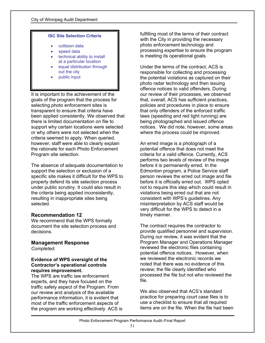#### **ISC Site Selection Criteria**

- collision data
- speed data
- technical ability to install at a particular location
- equal distribution through out the city
- public input

It is important to the achievement of the goals of the program that the process for selecting photo enforcement sites is transparent to ensure that criteria have been applied consistently. We observed that there is limited documentation on file to support why certain locations were selected or why others were not selected when the criteria seemed to apply. When queried, however, staff were able to clearly explain the rationale for each Photo Enforcement Program site selection.

The absence of adequate documentation to support the selection or exclusion of a specific site makes it difficult for the WPS to properly defend its site selection process under public scrutiny. It could also result in the criteria being applied inconsistently, resulting in inappropriate sites being selected.

### **Recommendation 12**

We recommend that the WPS formally document the site selection process and decisions.

### **Management Response**

*Completed.* 

### **Evidence of WPS oversight of the Contractor's operational controls requires improvement.**

The WPS are traffic law enforcement experts, and they have focused on the traffic safety aspect of the Program. From our review and analysis of the available performance information, it is evident that most of the traffic enforcement aspects of the program are working effectively. ACS is

fulfilling most of the terms of their contract with the City in providing the necessary photo enforcement technology and processing expertise to ensure the program is meeting its operational goals.

Under the terms of the contract, ACS is responsible for collecting and processing the potential violations as captured on their photo radar technology and then issuing offence notices to valid offenders. During our review of their processes, we observed that, overall, ACS has sufficient practices, policies and procedures in place to ensure that only offenders of the enforced traffic laws (speeding and red light running) are being photographed and issued offence notices. We did note, however, some areas where the process could be improved.

An erred image is a photograph of a potential offence that does not meet the criteria for a valid offence. Currently, ACS performs two levels of review of the image before it is permanently erred. In the Edmonton program, a Police Service staff person reviews the erred out image and file before it is officially erred out. WPS opted not to require this step which could result in violations being erred out that are not consistent with WPS's guidelines. Any misinterpretation by ACS staff would be very difficult for the WPS to detect in a timely manner.

The contract requires the contractor to provide qualified personnel and supervision. During our review, it was evident that the Program Manager and Operations Manager reviewed the electronic files containing potential offence notices. However, when we reviewed the electronic records we noted that there was no evidence of this review; the file clearly identified who processed the file but not who reviewed the file.

We also observed that ACS's standard practice for preparing court case files is to use a checklist to ensure that all required items are on the file. When the file had been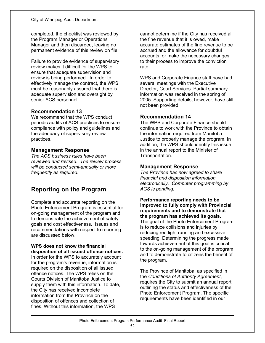completed, the checklist was reviewed by the Program Manager or Operations Manager and then discarded, leaving no permanent evidence of this review on file.

Failure to provide evidence of supervisory review makes it difficult for the WPS to ensure that adequate supervision and review is being performed. In order to effectively manage the contract, the WPS must be reasonably assured that there is adequate supervision and oversight by senior ACS personnel.

### **Recommendation 13**

We recommend that the WPS conduct periodic audits of ACS practices to ensure compliance with policy and guidelines and the adequacy of supervisory review practices.

### **Management Response**

*The ACS business rules have been reviewed and revised. The review process will be conducted semi-annually or more frequently as required.* 

### **Reporting on the Program**

Complete and accurate reporting on the Photo Enforcement Program is essential for on-going management of the program and to demonstrate the achievement of safety goals and cost effectiveness. Issues and recommendations with respect to reporting are discussed below.

**WPS does not know the financial disposition of all issued offence notices.**  In order for the WPS to accurately account for the program's revenue, information is required on the disposition of all issued offence notices. The WPS relies on the Courts Division of Manitoba Justice to supply them with this information. To date, the City has received incomplete information from the Province on the disposition of offences and collection of fines. Without this information, the WPS

cannot determine if the City has received all the fine revenue that it is owed, make accurate estimates of the fine revenue to be accrued and the allowance for doubtful accounts, or make the necessary changes to their process to improve the conviction rate.

WPS and Corporate Finance staff have had several meetings with the Executive Director, Court Services. Partial summary information was received in the spring of 2005. Supporting details, however, have still not been provided.

### **Recommendation 14**

The WPS and Corporate Finance should continue to work with the Province to obtain the information required from Manitoba Justice to properly manage the program. In addition, the WPS should identify this issue in the annual report to the Minister of Transportation.

### **Management Response**

*The Province has now agreed to share financial and disposition information electronically. Computer programming by ACS is pending.* 

**Performance reporting needs to be improved to fully comply with Provincial requirements and to demonstrate that the program has achieved its goals.** 

The goal of the Photo Enforcement Program is to reduce collisions and injuries by reducing red light running and excessive speeding. Determining the progress made towards achievement of this goal is critical to the on-going management of the program and to demonstrate to citizens the benefit of the program.

The Province of Manitoba, as specified in the *Conditions of Authority Agreement*, requires the City to submit an annual report outlining the status and effectiveness of the Photo Enforcement Program. The specific requirements have been identified in our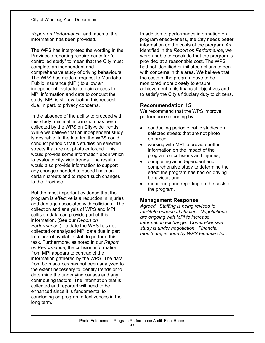*Report on Performance,* and much of the information has been provided.

The WPS has interpreted the wording in the Province's reporting requirements for "a controlled study" to mean that the City must complete an independent and comprehensive study of driving behaviours. The WPS has made a request to Manitoba Public Insurance (MPI) to allow an independent evaluator to gain access to MPI information and data to conduct the study. MPI is still evaluating this request due, in part, to privacy concerns.

In the absence of the ability to proceed with this study, minimal information has been collected by the WPS on City-wide trends. While we believe that an independent study is desirable, in the interim, the WPS could conduct periodic traffic studies on selected streets that are not photo enforced. This would provide some information upon which to evaluate city-wide trends. The results would also provide information to support any changes needed to speed limits on certain streets and to report such changes to the Province.

But the most important evidence that the program is effective is a reduction in injuries and damage associated with collisions. The collection and analysis of WPS and MPI collision data can provide part of this information. (See our *Report on Performance.*) To date the WPS has not collected or analyzed MPI data due in part to a lack of available staff to perform this task. Furthermore, as noted in our *Report on Performance*, the collision information from MPI appears to contradict the information gathered by the WPS. The data from both sources has not been analyzed to the extent necessary to identify trends or to determine the underlying causes and any contributing factors. The information that is collected and reported will need to be enhanced since it is fundamental to concluding on program effectiveness in the long term.

In addition to performance information on program effectiveness, the City needs better information on the costs of the program. As identified in the *Report on Performance*, we were unable to conclude that the program is provided at a reasonable cost. The WPS had not identified or initiated actions to deal with concerns in this area. We believe that the costs of the program have to be monitored more closely to ensure achievement of its financial objectives and to satisfy the City's fiduciary duty to citizens.

### **Recommendation 15**

We recommend that the WPS improve performance reporting by:

- conducting periodic traffic studies on selected streets that are not photo enforced;
- working with MPI to provide better information on the impact of the program on collisions and injuries;
- completing an independent and comprehensive study to determine the effect the program has had on driving behaviour; and
- monitoring and reporting on the costs of the program.

### **Management Response**

*Agreed. Staffing is being revised to facilitate enhanced studies. Negotiations are ongoing with MPI to increase information exchange. Comprehensive study is under negotiation. Financial monitoring is done by WPS Finance Unit.*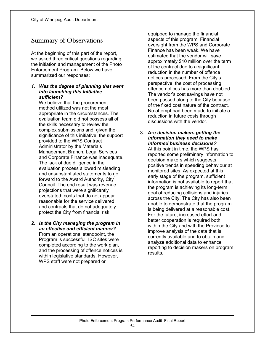### Summary of Observations

At the beginning of this part of the report, we asked three critical questions regarding the initiation and management of the Photo Enforcement Program. Below we have summarized our responses:

### *1. Was the degree of planning that went into launching this initiative sufficient?*

We believe that the procurement method utilized was not the most appropriate in the circumstances. The evaluation team did not possess all of the skills necessary to review the complex submissions and, given the significance of this initiative, the support provided to the WPS Contract Administrator by the Materials Management Branch, Legal Services and Corporate Finance was inadequate. The lack of due diligence in the evaluation process allowed misleading and unsubstantiated statements to go forward to the Award Authority, City Council. The end result was revenue projections that were significantly overstated; costs that do not appear reasonable for the service delivered; and contracts that do not adequately protect the City from financial risk.

*2. Is the City managing the program in an effective and efficient manner?*  From an operational standpoint, the Program is successful. ISC sites were completed according to the work plan, and the processing of offence notices is within legislative standards. However, WPS staff were not prepared or

equipped to manage the financial aspects of this program. Financial oversight from the WPS and Corporate Finance has been weak. We have estimated that the vendor will save approximately \$10 million over the term of the contract due to a significant reduction in the number of offence notices processed. From the City's perspective, the cost of processing offence notices has more than doubled. The vendor's cost savings have not been passed along to the City because of the fixed cost nature of the contract. No attempt had been made to initiate a reduction in future costs through discussions with the vendor.

3. **Are** *decision makers getting the information they need to make informed business decisions?*

At this point in time, the WPS has reported some preliminary information to decision makers which suggests positive trends in speeding behaviour at monitored sites. As expected at this early stage of the program, sufficient information is not available to report that the program is achieving its long-term goal of reducing collisions and injuries across the City. The City has also been unable to demonstrate that the program is being delivered at a reasonable cost. For the future, increased effort and better cooperation is required both within the City and with the Province to improve analysis of the data that is currently available and to obtain and analyze additional data to enhance reporting to decision makers on program results.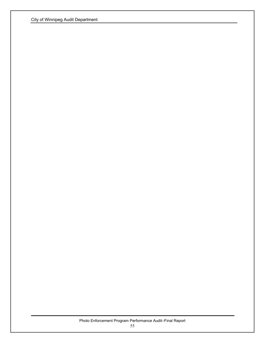City of Winnipeg Audit Department

#### Photo Enforcement Program Performance Audit–Final Report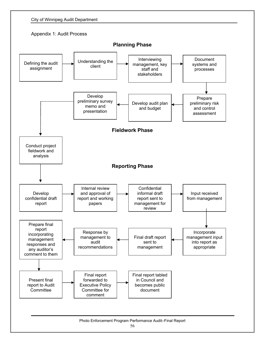#### City of Winnipeg Audit Department

Appendix 1: Audit Process



#### Photo Enforcement Program Performance Audit–Final Report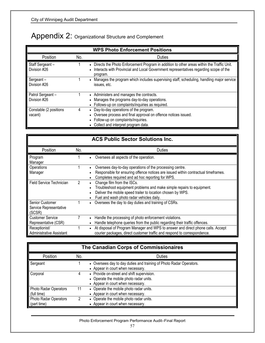# Appendix 2: Organizational Structure and Complement

| <b>WPS Photo Enforcement Positions</b> |     |                                                                                                                                                                                                             |
|----------------------------------------|-----|-------------------------------------------------------------------------------------------------------------------------------------------------------------------------------------------------------------|
| Position                               | No. | Duties                                                                                                                                                                                                      |
| Staff Sergeant-<br>Division #26        |     | Directs the Photo Enforcement Program in addition to other areas within the Traffic Unit.<br>$\bullet$<br>Interacts with Provincial and Local Government representatives regarding scope of the<br>program. |
| Sergeant-<br>Division #26              |     | Manages the program which includes supervising staff, scheduling, handling major service<br>$\bullet$<br>issues, etc.                                                                                       |
| Patrol Sergeant-<br>Division #26       |     | • Administers and manages the contracts.<br>Manages the programs day-to-day operations.<br>• Follows-up on complaints/inquiries as required.                                                                |
| Constable (2 positions<br>vacant)      | 4   | Day-to-day operations of the program.<br>Oversee process and final approval on offence notices issued.<br>Follow-up on complaints/inquiries.<br>Collect and interpret program data.                         |

| <b>ACS Public Sector Solutions Inc.</b> |     |                                                                                                                                        |
|-----------------------------------------|-----|----------------------------------------------------------------------------------------------------------------------------------------|
| Position                                | No. | <b>Duties</b>                                                                                                                          |
| Program<br>Manager                      |     | Oversees all aspects of the operation.<br>$\bullet$                                                                                    |
| Operations                              |     | Oversees day-to-day operations of the processing centre.<br>$\bullet$                                                                  |
| Manager                                 |     | Responsible for ensuring offence notices are issued within contractual timeframes.<br>Completes required and ad hoc reporting for WPS. |
| <b>Field Service Technician</b>         | 2   | Change film from the ISCs.<br>٠                                                                                                        |
|                                         |     | Troubleshoot equipment problems and make simple repairs to equipment.                                                                  |
|                                         |     | Deliver the mobile speed trailer to location chosen by WPS.                                                                            |
|                                         |     | Fuel and wash photo radar vehicles daily.                                                                                              |
| Senior Customer                         |     | Oversees the day to day duties and training of CSRs.                                                                                   |
| Service Representative<br>(SCSR)        |     |                                                                                                                                        |
| <b>Customer Service</b>                 |     | Handle the processing of photo enforcement violations.<br>$\bullet$                                                                    |
| Representative (CSR)                    |     | Handle telephone queries from the public regarding their traffic offences.                                                             |
| Receptionist/                           |     | At disposal of Program Manager and WPS to answer and direct phone calls. Accept<br>$\bullet$                                           |
| <b>Administrative Assistant</b>         |     | courier packages, direct customer traffic and respond to correspondence.                                                               |

| The Canadian Corps of Commissionaires |     |                                                                                                                            |
|---------------------------------------|-----|----------------------------------------------------------------------------------------------------------------------------|
| Position                              | No. | <b>Duties</b>                                                                                                              |
| Sergeant                              |     | • Oversees day to day duties and training of Photo Radar Operators.<br>• Appear in court when necessary.                   |
| Corporal                              | 4   | • Provide on-street and shift supervision.<br>• Operate the mobile photo radar units.<br>• Appear in court when necessary. |
| Photo Radar Operators<br>(full time)  | 11  | • Operate the mobile photo radar units.<br>• Appear in court when necessary.                                               |
| Photo Radar Operators<br>(part time)  |     | • Operate the mobile photo radar units.<br>• Appear in court when necessary.                                               |

#### Photo Enforcement Program Performance Audit–Final Report

57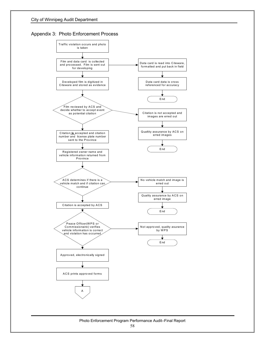



#### Photo Enforcement Program Performance Audit–Final Report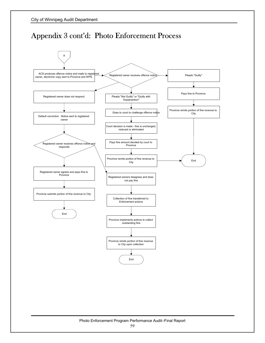# Appendix 3 cont'd: Photo Enforcement Process

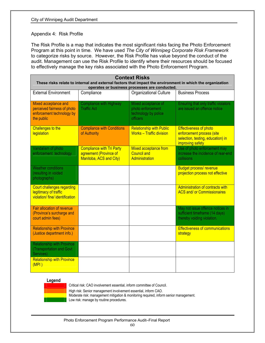### Appendix 4: Risk Profile

The Risk Profile is a map that indicates the most significant risks facing the Photo Enforcement Program at this point in time. We have used *The City of Winnipeg Corporate Risk Framework* to categorize risks by source. However, the Risk Profile has value beyond the conduct of the audit. Management can use the Risk Profile to identify where their resources should be focused to effectively manage the key risks associated with the Photo Enforcement Program.

| <b>Context Risks</b><br>These risks relate to internal and external factors that impact the environment in which the organization<br>operates or business processes are conducted. |                                                                                       |                                                                              |                                                                                                                     |  |
|------------------------------------------------------------------------------------------------------------------------------------------------------------------------------------|---------------------------------------------------------------------------------------|------------------------------------------------------------------------------|---------------------------------------------------------------------------------------------------------------------|--|
| <b>External Environment</b>                                                                                                                                                        | Compliance                                                                            | <b>Organizational Culture</b>                                                | <b>Business Process</b>                                                                                             |  |
| Mixed acceptance and<br>perceived fairness of photo<br>enforcement technology by<br>the public                                                                                     | <b>Compliance with Highway</b><br><b>Traffic Act</b>                                  | Mixed acceptance of<br>photo enforcement<br>technology by police<br>officers | Ensuring that only traffic violators<br>are issued an offence notice                                                |  |
| Challenges to the<br>legislation                                                                                                                                                   | <b>Compliance with Conditions</b><br>of Authority                                     | <b>Relationship with Public</b><br><b>Works - Traffic division</b>           | <b>Effectiveness of photo</b><br>enforcement process (site<br>selection, testing, education) in<br>improving safety |  |
| Vandalism of photo<br>enforcement technology                                                                                                                                       | <b>Compliance with Tri Party</b><br>agreement (Province of<br>Manitoba, ACS and City) | Mixed acceptance from<br><b>Council and</b><br>Administration                | Use of photo enforcement may<br>increase the incidence of rear-end<br><b>collisions</b>                             |  |
| <b>Weather conditions</b><br>(resulting in voided<br>photographs)                                                                                                                  |                                                                                       |                                                                              | <b>Budget process/ revenue</b><br>projection process not effective                                                  |  |
| Court challenges regarding<br>legitimacy of traffic<br>violation/ fine/ identification                                                                                             |                                                                                       |                                                                              | Administration of contracts with<br><b>ACS and/ or Commissionaires</b>                                              |  |
| <b>Fair allocation of revenue</b><br>(Province's surcharge and<br>court admin fees)                                                                                                |                                                                                       |                                                                              | May not issue offence notices in<br>sufficient timeframe (14 days)<br>thereby voiding violation.                    |  |
| <b>Relationship with Province</b><br>(Justice department info.)                                                                                                                    |                                                                                       |                                                                              | <b>Effectiveness of communications</b><br>strategy                                                                  |  |
| <b>Relationship with Province</b><br><b>Transportation and Govt</b><br>Services)                                                                                                   |                                                                                       |                                                                              |                                                                                                                     |  |
| <b>Relationship with Province</b><br>(MPI)                                                                                                                                         |                                                                                       |                                                                              |                                                                                                                     |  |

#### **Legend**



Critical risk: CAO involvement essential, inform committee of Council.

High risk: Senior management involvement essential, inform CAO.

Moderate risk: management mitigation & monitoring required, inform senior management.

Low risk: manage by routine procedures.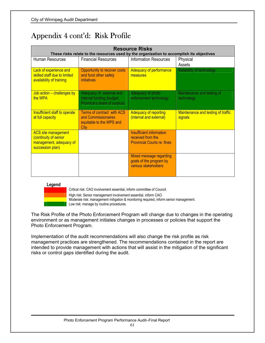# Appendix 4 cont'd: Risk Profile

| <b>Resource Risks</b>                                                                              |                                                                                       |                                                                                            |                                               |  |
|----------------------------------------------------------------------------------------------------|---------------------------------------------------------------------------------------|--------------------------------------------------------------------------------------------|-----------------------------------------------|--|
| These risks relate to the resources used by the organization to accomplish its objectives          |                                                                                       |                                                                                            |                                               |  |
| Human Resources                                                                                    | <b>Financial Resources</b>                                                            | <b>Information Resources</b>                                                               | Physical<br>Assets                            |  |
| Lack of experience and<br>skilled staff due to limited<br>availability of training                 | Opportunity to recover costs<br>and fund other safety<br>initiatives                  | <b>Adequacy of performance</b><br>measures                                                 | Reliability of technology                     |  |
| Job action - challenges by<br>the WPA                                                              | Adequacy of external and<br>internal funding (budget,<br>Province's share of surplus) | Adequacy of photo<br>enforcement technology                                                | Maintenance and testing of<br>technology      |  |
| Insufficient staff to operate<br>at full capacity                                                  | Terms of contract with ACS<br>and Commissionaires<br>equitable to the WPS and<br>City | <b>Adequacy of reporting</b><br>(internal and external)                                    | Maintenance and testing of traffic<br>signals |  |
| <b>ACS site management</b><br>(continuity of senior<br>management, adequacy of<br>succession plan) |                                                                                       | <b>Insufficient information</b><br>received from the<br><b>Provincial Courts re: fines</b> |                                               |  |
|                                                                                                    |                                                                                       | Mixed message regarding<br>goals of the program by<br>various stakeholders                 |                                               |  |

#### **Legend**

 Critical risk: CAO involvement essential, inform committee of Council. High risk: Senior management involvement essential, inform CAO.

 Moderate risk: management mitigation & monitoring required, inform senior management. Low risk: manage by routine procedures.

The Risk Profile of the Photo Enforcement Program will change due to changes in the operating environment or as management initiates changes in processes or policies that support the Photo Enforcement Program.

Implementation of the audit recommendations will also change the risk profile as risk management practices are strengthened. The recommendations contained in the report are intended to provide management with actions that will assist in the mitigation of the significant risks or control gaps identified during the audit.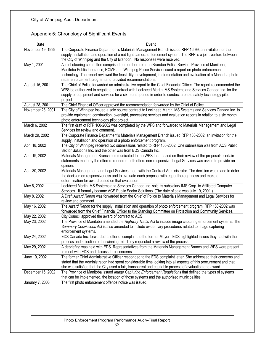| <b>Date</b><br>Event<br>November 19, 1999<br>The Corporate Finance Department's Materials Management Branch issued RFP 16-99, an invitation for the<br>supply, installation and operation of a red light camera enforcement system. The RFP is a joint venture between |  |
|------------------------------------------------------------------------------------------------------------------------------------------------------------------------------------------------------------------------------------------------------------------------|--|
|                                                                                                                                                                                                                                                                        |  |
|                                                                                                                                                                                                                                                                        |  |
| the City of Winnipeg and the City of Brandon. No responses were received.                                                                                                                                                                                              |  |
| May 1, 2001<br>A joint steering committee comprised of member from the Brandon Police Service, Province of Manitoba,                                                                                                                                                   |  |
| Manitoba Public Insurance, RCMP and Winnipeg Police Service issued a report on photo enforcement                                                                                                                                                                       |  |
| technology. The report reviewed the feasibility, development, implementation and evaluation of a Manitoba photo                                                                                                                                                        |  |
| radar enforcement program and provided recommendations.                                                                                                                                                                                                                |  |
| August 15, 2001<br>The Chief of Police forwarded an administrative report to the Chief Financial Officer. The report recommended the                                                                                                                                   |  |
| WPS be authorized to negotiate a contract with Lockheed Martin IMS Systems and Services Canada Inc. for the                                                                                                                                                            |  |
| supply of equipment and services for a six-month period in order to conduct a photo safety technology pilot                                                                                                                                                            |  |
| project.                                                                                                                                                                                                                                                               |  |
| August 28, 2001<br>The Chief Financial Officer approved the recommendation forwarded by the Chief of Police.                                                                                                                                                           |  |
| November 28, 2001<br>The City of Winnipeg issued a sole source contract to Lockheed Martin IMS Systems and Services Canada Inc. to                                                                                                                                     |  |
| provide equipment, construction, oversight, processing services and evaluation reports in relation to a six month                                                                                                                                                      |  |
| photo enforcement technology pilot project.                                                                                                                                                                                                                            |  |
| March 6, 2002<br>The first draft of RFP 160-2002 was completed by the WPS and forwarded to Materials Management and Legal                                                                                                                                              |  |
| Services for review and comment.                                                                                                                                                                                                                                       |  |
| March 29, 2002<br>The Corporate Finance Department's Materials Management Branch issued RFP 160-2002, an invitation for the                                                                                                                                            |  |
| supply, installation and operation of a photo enforcement program.                                                                                                                                                                                                     |  |
| April 18, 2002<br>The City of Winnipeg received two submissions related to RFP 160-2002. One submission was from ACS Public                                                                                                                                            |  |
| Sector Solutions Inc. and the other was from EDS Canada Inc.                                                                                                                                                                                                           |  |
| Materials Management Branch communicated to the WPS that, based on their review of the proposals, certain<br>April 19, 2002                                                                                                                                            |  |
| statements made by the offerors rendered both offers non-responsive. Legal Services was asked to provide an                                                                                                                                                            |  |
| opinion.                                                                                                                                                                                                                                                               |  |
| April 30, 2002<br>Materials Management and Legal Services meet with the Contract Administrator. The decision was made to defer                                                                                                                                         |  |
| the decision on responsiveness and to evaluate each proposal with equal thoroughness and make a                                                                                                                                                                        |  |
| determination for award based on that evaluation.                                                                                                                                                                                                                      |  |
| May 6, 2002<br>Lockheed Martin IMS Systems and Services Canada Inc. sold its subsidiary IMS Corp. to Affiliated Computer                                                                                                                                               |  |
| Services. It formally became ACS Public Sector Solutions. (The date of sale was July 19, 2001.)                                                                                                                                                                        |  |
| May 8, 2002<br>A Draft Award Report was forwarded from the Chief of Police to Materials Management and Legal Services for<br>review and comment.                                                                                                                       |  |
| The Award Report for the supply, installation and operation of photo enforcement program, RFP 160-2002 was<br>May 16, 2002                                                                                                                                             |  |
| forwarded from the Chief Financial Officer to the Standing Committee on Protection and Community Services.                                                                                                                                                             |  |
| May 22, 2002<br>City Council approved the award of contract to ACS.                                                                                                                                                                                                    |  |
| The Province of Manitoba amended the Highway Traffic Act to include image capturing enforcement systems. The<br>May 23, 2002                                                                                                                                           |  |
| Summary Convictions Act is also amended to include evidentiary procedures related to image capturing                                                                                                                                                                   |  |
| enforcement systems.                                                                                                                                                                                                                                                   |  |
| EDS Canada Inc. forwarded a letter of complaint to the former Mayor. EDS highlighted issues they had with the<br>May 24, 2002                                                                                                                                          |  |
| process and selection of the winning bid. They requested a review of the process.                                                                                                                                                                                      |  |
| May 29, 2002<br>A debriefing was held with EDS. Representatives from the Materials Management Branch and WPS were present                                                                                                                                              |  |
| to meet with EDS and discuss their concerns.                                                                                                                                                                                                                           |  |
| The former Chief Administrative Officer responded to the EDS complaint letter. She addressed their concerns and<br>June 19, 2002                                                                                                                                       |  |
| stated that the Administration had spent considerable time looking into all aspects of this procurement and that                                                                                                                                                       |  |
| she was satisfied that the City used a fair, transparent and equitable process of evaluation and award.                                                                                                                                                                |  |
| December 16, 2002<br>The Province of Manitoba issued Image Capturing Enforcement Regulations that defined the types of systems                                                                                                                                         |  |
| that can be implemented, the location of those systems and the authorized municipalities.                                                                                                                                                                              |  |
| January 7, 2003<br>The first photo enforcement offence notice was issued.                                                                                                                                                                                              |  |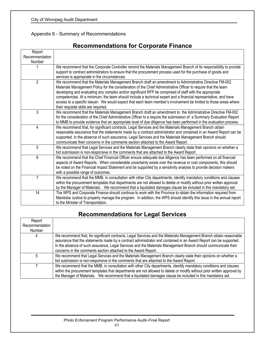Appendix 6 - Summary of Recommendations

| Report         |                                                                                                                       |
|----------------|-----------------------------------------------------------------------------------------------------------------------|
| Recommendation |                                                                                                                       |
| Number         |                                                                                                                       |
|                | We recommend that the Corporate Controller remind the Materials Management Branch of its responsibility to provide    |
|                | support to contract administrators to ensure that the procurement process used for the purchase of goods and          |
|                | services is appropriate in the circumstances.                                                                         |
| $\overline{2}$ | We recommend that the Materials Management Branch draft an amendment to Administrative Directive FM-002               |
|                | Materials Management Policy for the consideration of the Chief Administrative Officer to require that the team        |
|                | developing and evaluating any complex and/or significant RFP be comprised of staff with the appropriate               |
|                | competencies. At a minimum, the team should include a technical expert and a financial representative, and have       |
|                | access to a specific lawyer. We would expect that each team member's involvement be limited to those areas where      |
|                | their requisite skills are required.                                                                                  |
| 3              | We recommend that the Materials Management Branch draft an amendment to the Administrative Directive FM-002           |
|                | for the consideration of the Chief Administrative Officer to a require the submission of a Summary Evaluation Report  |
|                | to MMB to provide evidence that an appropriate level of due diligence has been performed in the evaluation process.   |
| 4              | We recommend that, for significant contracts, Legal Services and the Materials Management Branch obtain               |
|                | reasonable assurance that the statements made by a contract administrator and contained in an Award Report can be     |
|                | supported. In the absence of such assurance, Legal Services and the Materials Management Branch should                |
|                | communicate their concerns in the comments section attached to the Award Report.                                      |
| 5              | We recommend that Legal Services and the Materials Management Branch clearly state their opinions on whether a        |
|                | bid submission is non-responsive in the comments that are attached to the Award Report.                               |
| $\overline{6}$ | We recommend that the Chief Financial Officer ensure adequate due diligence has been performed on all financial       |
|                | aspects of Award Reports. When considerable uncertainty exists over the revenue or cost components, this should       |
|                | be noted on the Financial Impact Statement and be supported by a sensitivity analysis to provide decision makers      |
|                | with a possible range of outcomes.                                                                                    |
| $\overline{7}$ | We recommend that the MMB, in consultation with other City departments, identify mandatory conditions and clauses     |
|                | within the procurement templates that departments are not allowed to delete or modify without prior written approval  |
|                | by the Manager of Materials. We recommend that a liquidated damages clause be included in this mandatory set.         |
| 14             | The WPS and Corporate Finance should continue to work with the Province to obtain the information required from       |
|                | Manitoba Justice to properly manage the program. In addition, the WPS should identify this issue in the annual report |
|                | to the Minister of Transportation.                                                                                    |

### **Recommendations for Corporate Finance**

### **Recommendations for Legal Services**

| Report         |                                                                                                                                                                                                                                                                                                                                                                                                                            |
|----------------|----------------------------------------------------------------------------------------------------------------------------------------------------------------------------------------------------------------------------------------------------------------------------------------------------------------------------------------------------------------------------------------------------------------------------|
| Recommendation |                                                                                                                                                                                                                                                                                                                                                                                                                            |
| <b>Number</b>  |                                                                                                                                                                                                                                                                                                                                                                                                                            |
|                | We recommend that, for significant contracts, Legal Services and the Materials Management Branch obtain reasonable<br>assurance that the statements made by a contract administrator and contained in an Award Report can be supported.<br>In the absence of such assurance, Legal Services and the Materials Management Branch should communicate their<br>concerns in the comments section attached to the Award Report. |
| 5              | We recommend that Legal Services and the Materials Management Branch clearly state their opinions on whether a<br>bid submission is non-responsive in the comments that are attached to the Award Report.                                                                                                                                                                                                                  |
|                | We recommend that the MMB, in consultation with other City departments, identify mandatory conditions and clauses<br>within the procurement templates that departments are not allowed to delete or modify without prior written approval by<br>the Manager of Materials. We recommend that a liquidated damages clause be included in this mandatory set.                                                                 |

63